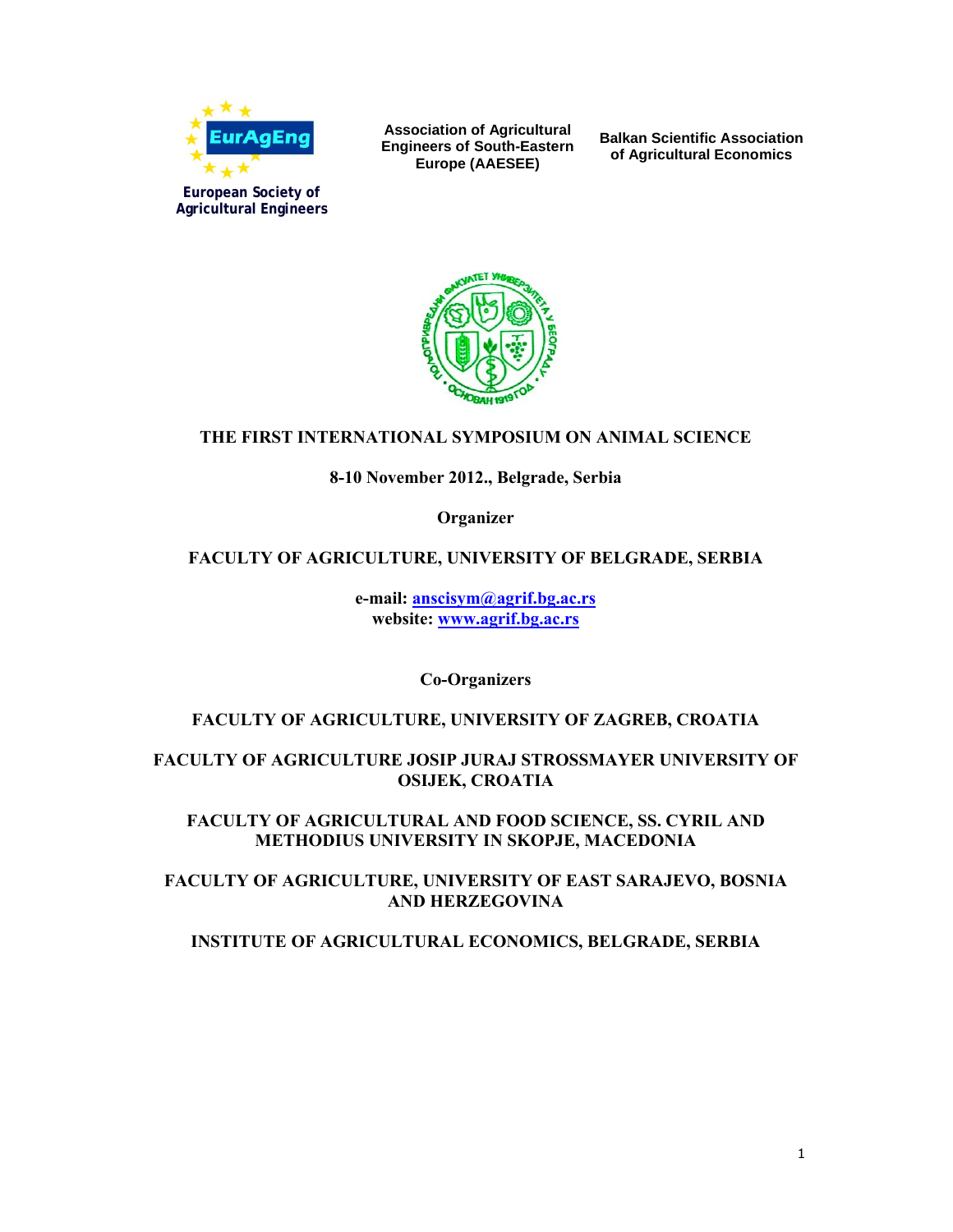

**Association of Agricultural Engineers of South-Eastern Europe (AAESEE)**

**Balkan Scientific Association of Agricultural Economics**



# **THE FIRST INTERNATIONAL SYMPOSIUM ON ANIMAL SCIENCE**

### **8-10 November 2012., Belgrade, Serbia**

**Organizer**

### **FACULTY OF AGRICULTURE, UNIVERSITY OF BELGRADE, SERBIA**

**e-mail: anscisym@agrif.bg.ac.rs website: www.agrif.bg.ac.rs**

**Co-Organizers**

### **FACULTY OF AGRICULTURE, UNIVERSITY OF ZAGREB, CROATIA**

### **FACULTY OF AGRICULTURE JOSIP JURAJ STROSSMAYER UNIVERSITY OF OSIJEK, CROATIA**

**FACULTY OF AGRICULTURAL AND FOOD SCIENCE, SS. CYRIL AND METHODIUS UNIVERSITY IN SKOPJE, MACEDONIA**

**FACULTY OF AGRICULTURE, UNIVERSITY OF EAST SARAJEVO, BOSNIA AND HERZEGOVINA**

**INSTITUTE OF AGRICULTURAL ECONOMICS, BELGRADE, SERBIA**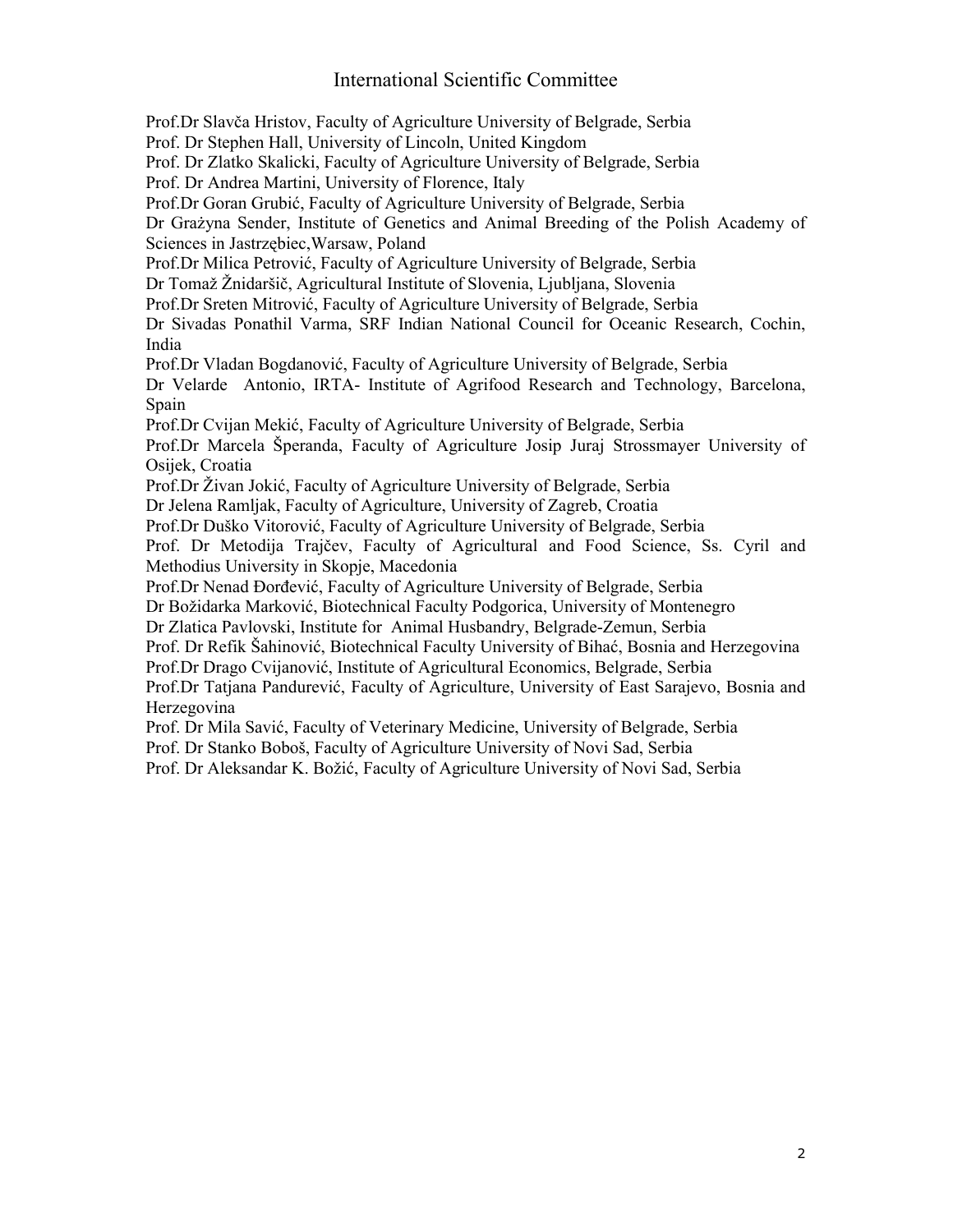# International Scientific Committee

Prof.Dr Slavča Hristov, Faculty of Agriculture University of Belgrade, Serbia Prof. Dr Stephen Hall, University of Lincoln, United Kingdom Prof. Dr Zlatko Skalicki, Faculty of Agriculture University of Belgrade, Serbia Prof. Dr Andrea Martini, University of Florence, Italy Prof.Dr Goran Grubić, Faculty of Agriculture University of Belgrade, Serbia Dr Grażyna Sender, Institute of Genetics and Animal Breeding of the Polish Academy of Sciences in Jastrzębiec,Warsaw, Poland Prof.Dr Milica Petrović, Faculty of Agriculture University of Belgrade, Serbia Dr Tomaž Žnidaršič, Agricultural Institute of Slovenia, Ljubljana, Slovenia Prof.Dr Sreten Mitrović, Faculty of Agriculture University of Belgrade, Serbia Dr Sivadas Ponathil Varma, SRF Indian National Council for Oceanic Research, Cochin, India Prof.Dr Vladan Bogdanović, Faculty of Agriculture University of Belgrade, Serbia Dr Velarde Antonio, IRTA- Institute of Agrifood Research and Technology, Barcelona, Spain Prof.Dr Cvijan Mekić, Faculty of Agriculture University of Belgrade, Serbia Prof.Dr Marcela Šperanda, Faculty of Agriculture Josip Juraj Strossmayer University of Osijek, Croatia Prof.Dr Živan Jokić, Faculty of Agriculture University of Belgrade, Serbia Dr Jelena Ramljak, Faculty of Agriculture, University of Zagreb, Croatia Prof.Dr Duško Vitorović, Faculty of Agriculture University of Belgrade, Serbia Prof. Dr Metodija Trajčev, Faculty of Agricultural and Food Science, Ss. Cyril and Methodius University in Skopje, Macedonia Prof.Dr Nenad Đorđević, Faculty of Agriculture University of Belgrade, Serbia Dr Božidarka Marković, Biotechnical Faculty Podgorica, University of Montenegro Dr Zlatica Pavlovski, Institute for Animal Husbandry, Belgrade-Zemun, Serbia Prof. Dr Refik Šahinović, Biotechnical Faculty University of Bihać, Bosnia and Herzegovina Prof.Dr Drago Cvijanović, Institute of Agricultural Economics, Belgrade, Serbia Prof.Dr Tatjana Pandurević, Faculty of Agriculture, University of East Sarajevo, Bosnia and Herzegovina Prof. Dr Mila Savić, Faculty of Veterinary Medicine, University of Belgrade, Serbia Prof. Dr Stanko Boboš, Faculty of Agriculture University of Novi Sad, Serbia

Prof. Dr Aleksandar K. Božić, Faculty of Agriculture University of Novi Sad, Serbia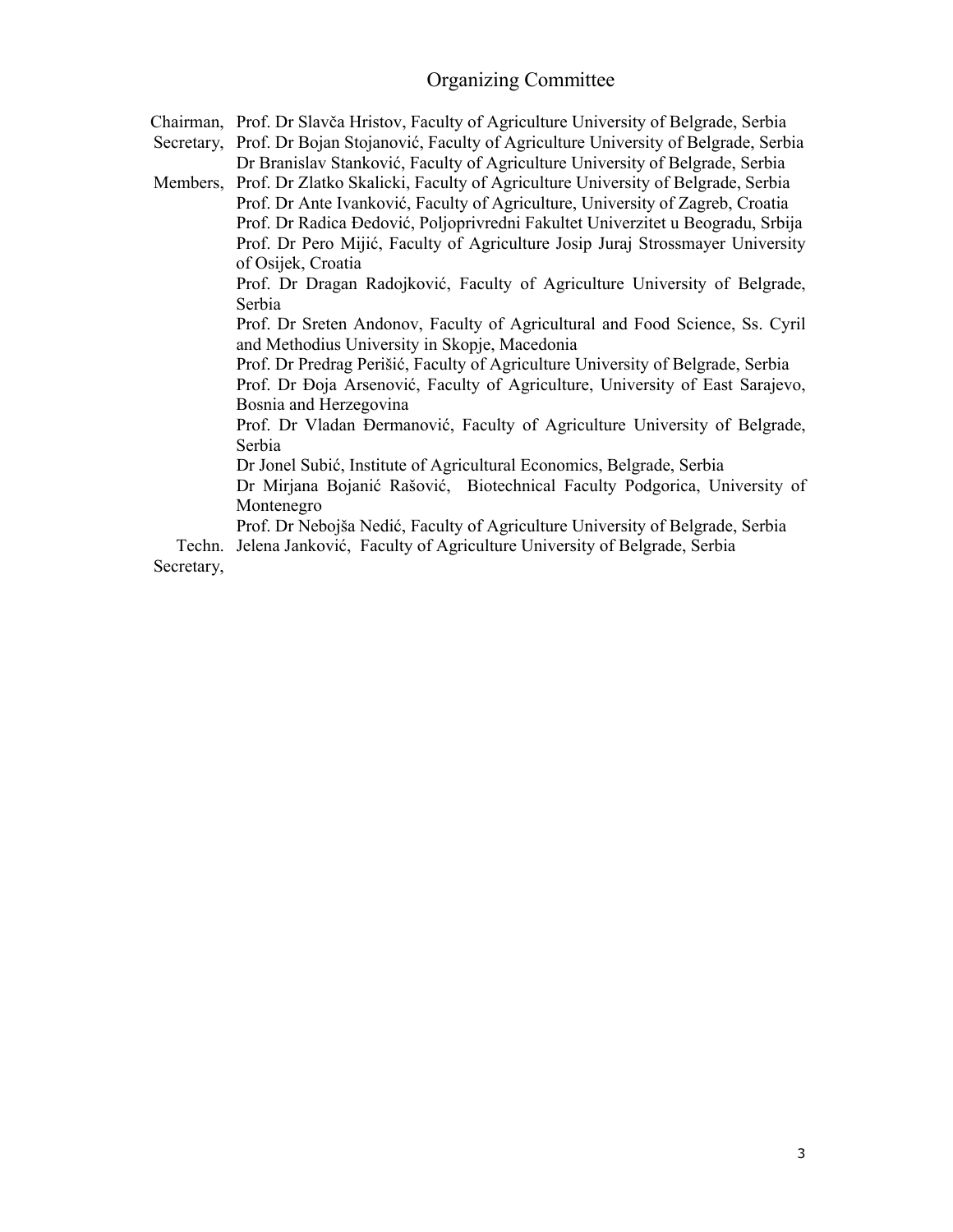# Organizing Committee

Chairman, Prof. Dr Slavča Hristov, Faculty of Agriculture University of Belgrade, Serbia

Secretary, Prof. Dr Bojan Stojanović, Faculty of Agriculture University of Belgrade, Serbia Dr Branislav Stanković, Faculty of Agriculture University of Belgrade, Serbia

Members, Prof. Dr Zlatko Skalicki, Faculty of Agriculture University of Belgrade, Serbia Prof. Dr Ante Ivanković, Faculty of Agriculture, University of Zagreb, Croatia Prof. Dr Radica Đedović, Poljoprivredni Fakultet Univerzitet u Beogradu, Srbija Prof. Dr Pero Mijić, Faculty of Agriculture Josip Juraj Strossmayer University of Osijek, Croatia

> Prof. Dr Dragan Radojković, Faculty of Agriculture University of Belgrade, Serbia

> Prof. Dr Sreten Andonov, Faculty of Agricultural and Food Science, Ss. Cyril and Methodius University in Skopje, Macedonia

> Prof. Dr Predrag Perišić, Faculty of Agriculture University of Belgrade, Serbia Prof. Dr Đoja Arsenović, Faculty of Agriculture, University of East Sarajevo, Bosnia and Herzegovina

> Prof. Dr Vladan Đermanović, Faculty of Agriculture University of Belgrade, Serbia

Dr Jonel Subić, Institute of Agricultural Economics, Belgrade, Serbia

Dr Mirjana Bojanić Rašović, Biotechnical Faculty Podgorica, University of Montenegro

Prof. Dr Nebojša Nedić, Faculty of Agriculture University of Belgrade, Serbia Techn. Jelena Janković, Faculty of Agriculture University of Belgrade, Serbia

Secretary,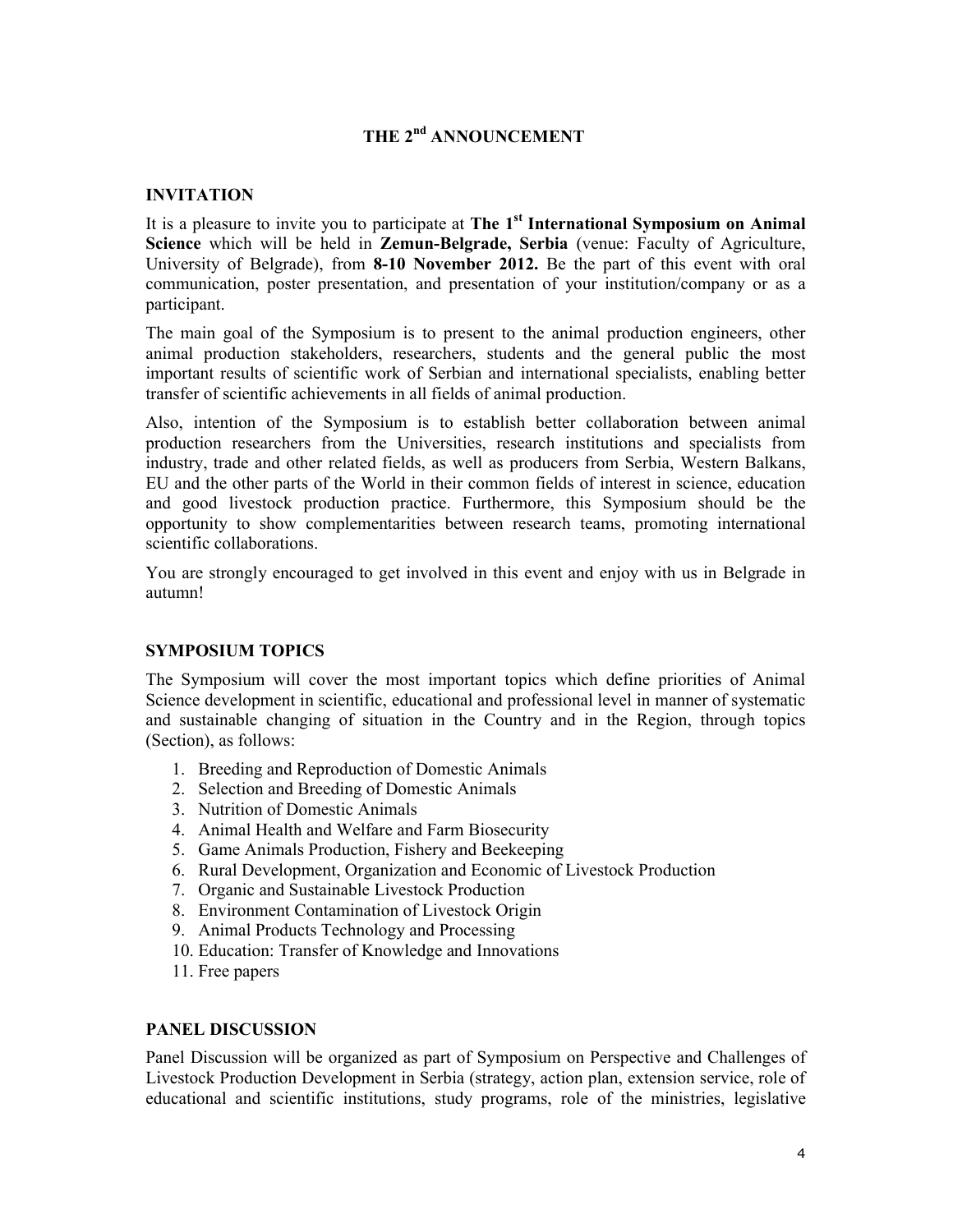# **THE 2nd ANNOUNCEMENT**

#### **INVITATION**

It is a pleasure to invite you to participate at **The 1st International Symposium on Animal Science** which will be held in **Zemun-Belgrade, Serbia** (venue: Faculty of Agriculture, University of Belgrade), from **8-10 November 2012.** Be the part of this event with oral communication, poster presentation, and presentation of your institution/company or as a participant.

The main goal of the Symposium is to present to the animal production engineers, other animal production stakeholders, researchers, students and the general public the most important results of scientific work of Serbian and international specialists, enabling better transfer of scientific achievements in all fields of animal production.

Also, intention of the Symposium is to establish better collaboration between animal production researchers from the Universities, research institutions and specialists from industry, trade and other related fields, as well as producers from Serbia, Western Balkans, EU and the other parts of the World in their common fields of interest in science, education and good livestock production practice. Furthermore, this Symposium should be the opportunity to show complementarities between research teams, promoting international scientific collaborations.

You are strongly encouraged to get involved in this event and enjoy with us in Belgrade in autumn!

#### **SYMPOSIUM TOPICS**

The Symposium will cover the most important topics which define priorities of Animal Science development in scientific, educational and professional level in manner of systematic and sustainable changing of situation in the Country and in the Region, through topics (Section), as follows:

- 1. Breeding and Reproduction of Domestic Animals
- 2. Selection and Breeding of Domestic Animals
- 3. Nutrition of Domestic Animals
- 4. Animal Health and Welfare and Farm Biosecurity
- 5. Game Animals Production, Fishery and Beekeeping
- 6. Rural Development, Organization and Economic of Livestock Production
- 7. Organic and Sustainable Livestock Production
- 8. Environment Contamination of Livestock Origin
- 9. Animal Products Technology and Processing
- 10. Education: Transfer of Knowledge and Innovations
- 11. Free papers

#### **PANEL DISCUSSION**

Panel Discussion will be organized as part of Symposium on Perspective and Challenges of Livestock Production Development in Serbia (strategy, action plan, extension service, role of educational and scientific institutions, study programs, role of the ministries, legislative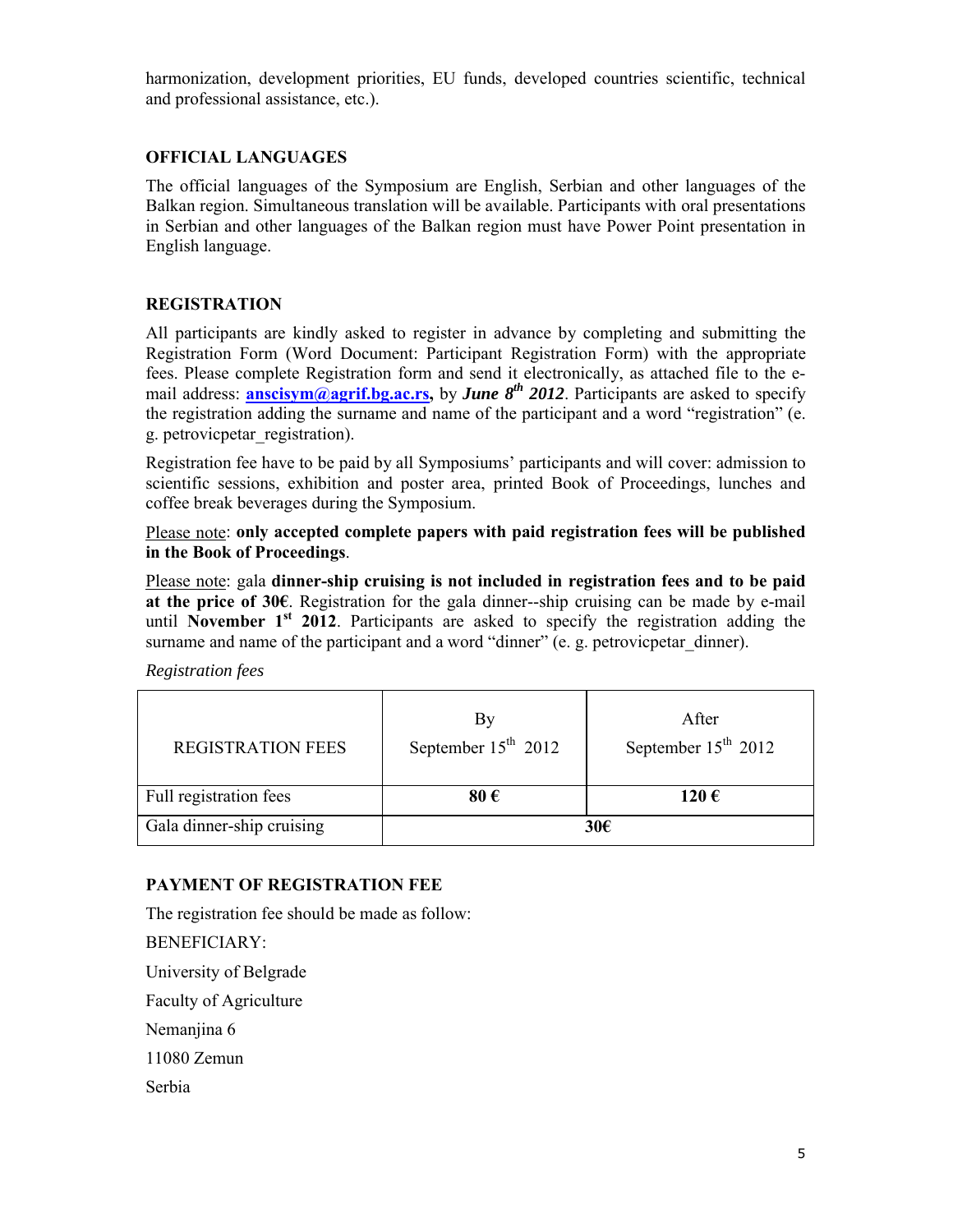harmonization, development priorities, EU funds, developed countries scientific, technical and professional assistance, etc.).

# **OFFICIAL LANGUAGES**

The official languages of the Symposium are English, Serbian and other languages of the Balkan region. Simultaneous translation will be available. Participants with oral presentations in Serbian and other languages of the Balkan region must have Power Point presentation in English language.

### **REGISTRATION**

All participants are kindly asked to register in advance by completing and submitting the Registration Form (Word Document: Participant Registration Form) with the appropriate fees. Please complete Registration form and send it electronically, as attached file to the email address: **anscisym@agrif.bg.ac.rs,** by *June 8th 2012*. Participants are asked to specify the registration adding the surname and name of the participant and a word "registration" (e. g. petrovicpetar\_registration).

Registration fee have to be paid by all Symposiums' participants and will cover: admission to scientific sessions, exhibition and poster area, printed Book of Proceedings, lunches and coffee break beverages during the Symposium.

Please note: **only accepted complete papers with paid registration fees will be published in the Book of Proceedings**.

Please note: gala **dinner-ship cruising is not included in registration fees and to be paid at the price of 30€**. Registration for the gala dinner--ship cruising can be made by e-mail until **November 1st 2012**. Participants are asked to specify the registration adding the surname and name of the participant and a word "dinner" (e. g. petrovicpetar dinner).

*Registration fees*

| <b>REGISTRATION FEES</b>  | By<br>September $15th$ 2012 | After<br>September $15th$ 2012 |
|---------------------------|-----------------------------|--------------------------------|
| Full registration fees    | 80€                         | 120€                           |
| Gala dinner-ship cruising | 30€                         |                                |

# **PAYMENT OF REGISTRATION FEE**

The registration fee should be made as follow: BENEFICIARY: University of Belgrade Faculty of Agriculture Nemanjina 6 11080 Zemun Serbia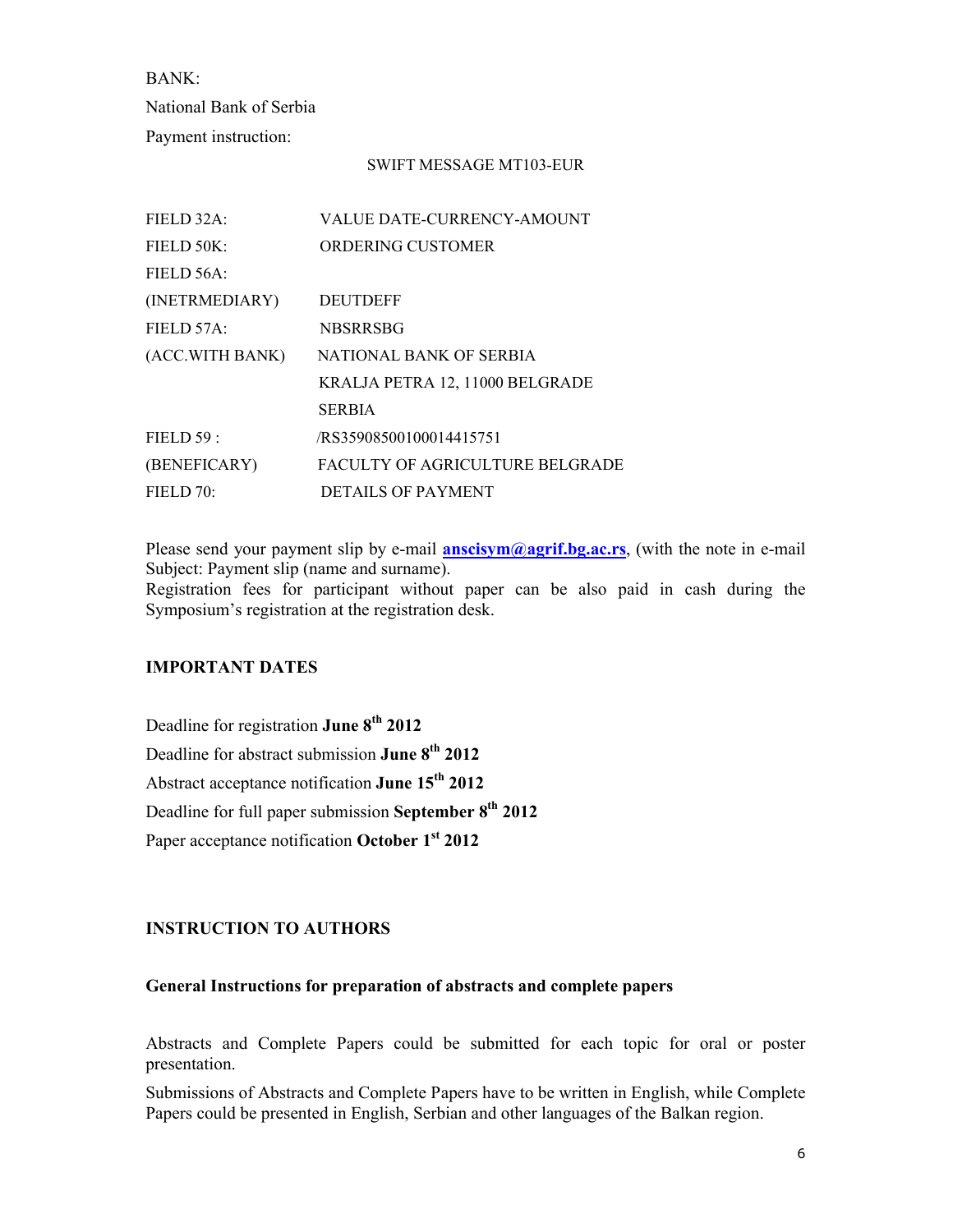BANK: National Bank of Serbia Payment instruction:

#### SWIFT MESSAGE MT103-EUR

| FIELD 32A:      | <b>VALUE DATE-CURRENCY-AMOUNT</b> |
|-----------------|-----------------------------------|
| FIELD 50K:      | ORDERING CUSTOMER                 |
| FIELD 56A:      |                                   |
| (INETRMEDIARY)  | <b>DEUTDEFF</b>                   |
| FIELD 57A:      | <b>NBSRRSBG</b>                   |
| (ACC.WITH BANK) | NATIONAL BANK OF SERBIA           |
|                 | KRALJA PETRA 12, 11000 BELGRADE   |
|                 | <b>SERBIA</b>                     |
| FIELD 59:       | /RS35908500100014415751           |
| (BENEFICARY)    | FACULTY OF AGRICULTURE BELGRADE   |
| FIELD 70:       | <b>DETAILS OF PAYMENT</b>         |

Please send your payment slip by e-mail **anscisym@agrif.bg.ac.rs**, (with the note in e-mail Subject: Payment slip (name and surname).

Registration fees for participant without paper can be also paid in cash during the Symposium's registration at the registration desk.

### **IMPORTANT DATES**

Deadline for registration **June 8th 2012**  Deadline for abstract submission **June 8th 2012** Abstract acceptance notification **June 15th 2012**  Deadline for full paper submission **September 8th 2012** Paper acceptance notification **October 1st 2012**

### **INSTRUCTION TO AUTHORS**

#### **General Instructions for preparation of abstracts and complete papers**

Abstracts and Complete Papers could be submitted for each topic for oral or poster presentation.

Submissions of Abstracts and Complete Papers have to be written in English, while Complete Papers could be presented in English, Serbian and other languages of the Balkan region.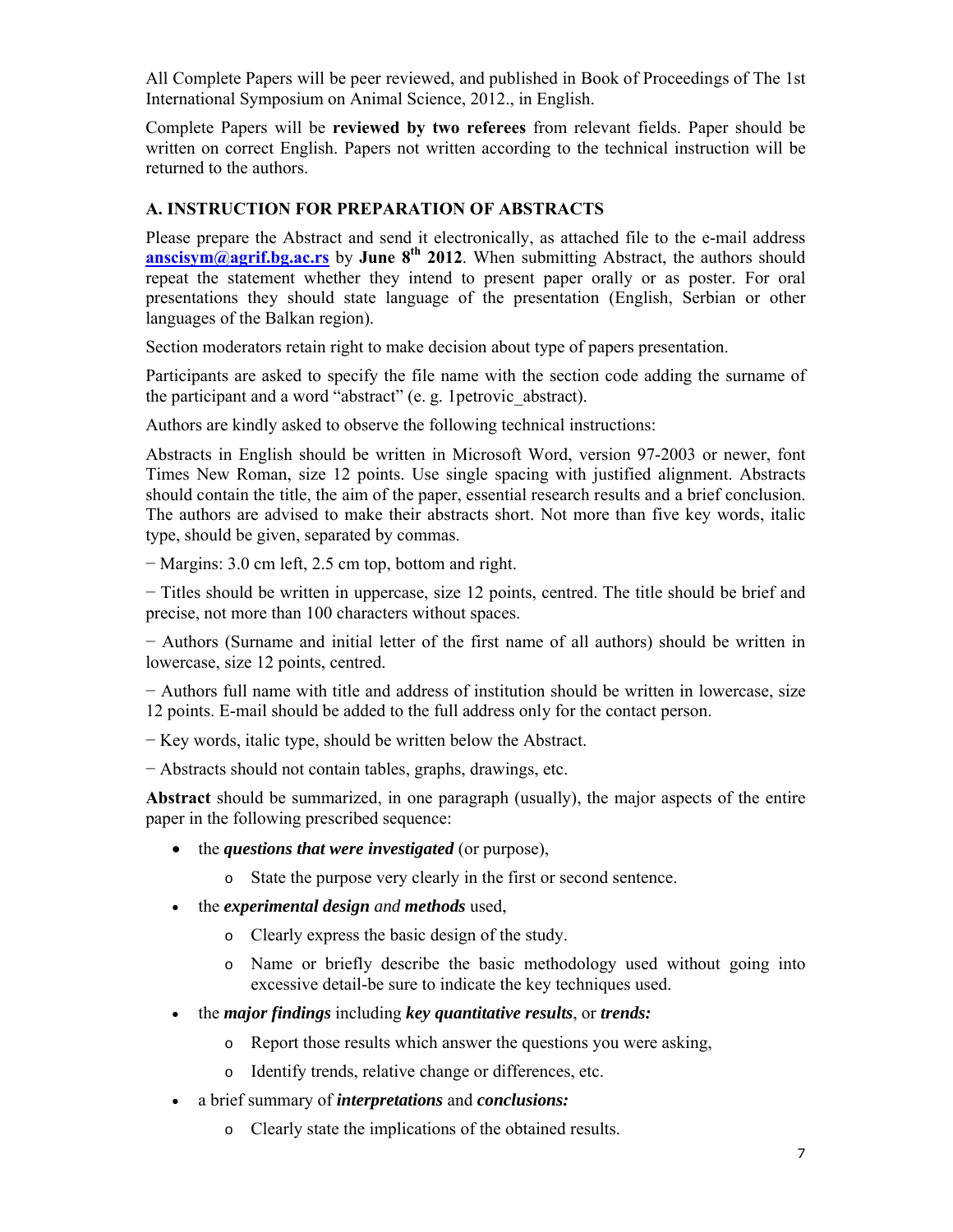All Complete Papers will be peer reviewed, and published in Book of Proceedings of The 1st International Symposium on Animal Science, 2012., in English.

Complete Papers will be **reviewed by two referees** from relevant fields. Paper should be written on correct English. Papers not written according to the technical instruction will be returned to the authors.

### **A. INSTRUCTION FOR PREPARATION OF ABSTRACTS**

Please prepare the Abstract and send it electronically, as attached file to the e-mail address **anscisym@agrif.bg.ac.rs** by **June 8<sup>th</sup> 2012**. When submitting Abstract, the authors should repeat the statement whether they intend to present paper orally or as poster. For oral presentations they should state language of the presentation (English, Serbian or other languages of the Balkan region).

Section moderators retain right to make decision about type of papers presentation.

Participants are asked to specify the file name with the section code adding the surname of the participant and a word "abstract" (e. g. 1petrovic\_abstract).

Authors are kindly asked to observe the following technical instructions:

Abstracts in English should be written in Microsoft Word, version 97-2003 or newer, font Times New Roman, size 12 points. Use single spacing with justified alignment. Abstracts should contain the title, the aim of the paper, essential research results and a brief conclusion. The authors are advised to make their abstracts short. Not more than five key words, italic type, should be given, separated by commas.

− Margins: 3.0 cm left, 2.5 cm top, bottom and right.

− Titles should be written in uppercase, size 12 points, centred. The title should be brief and precise, not more than 100 characters without spaces.

− Authors (Surname and initial letter of the first name of all authors) should be written in lowercase, size 12 points, centred.

− Authors full name with title and address of institution should be written in lowercase, size 12 points. E-mail should be added to the full address only for the contact person.

− Key words, italic type, should be written below the Abstract.

− Abstracts should not contain tables, graphs, drawings, etc.

**Abstract** should be summarized, in one paragraph (usually), the major aspects of the entire paper in the following prescribed sequence:

- the *questions that were investigated* (or purpose),
	- o State the purpose very clearly in the first or second sentence.
- the *experimental design and methods* used,
	- o Clearly express the basic design of the study.
	- o Name or briefly describe the basic methodology used without going into excessive detail-be sure to indicate the key techniques used.
- the *major findings* including *key quantitative results*, or *trends:*
	- o Report those results which answer the questions you were asking,
	- o Identify trends, relative change or differences, etc.
- a brief summary of *interpretations* and *conclusions:*
	- o Clearly state the implications of the obtained results.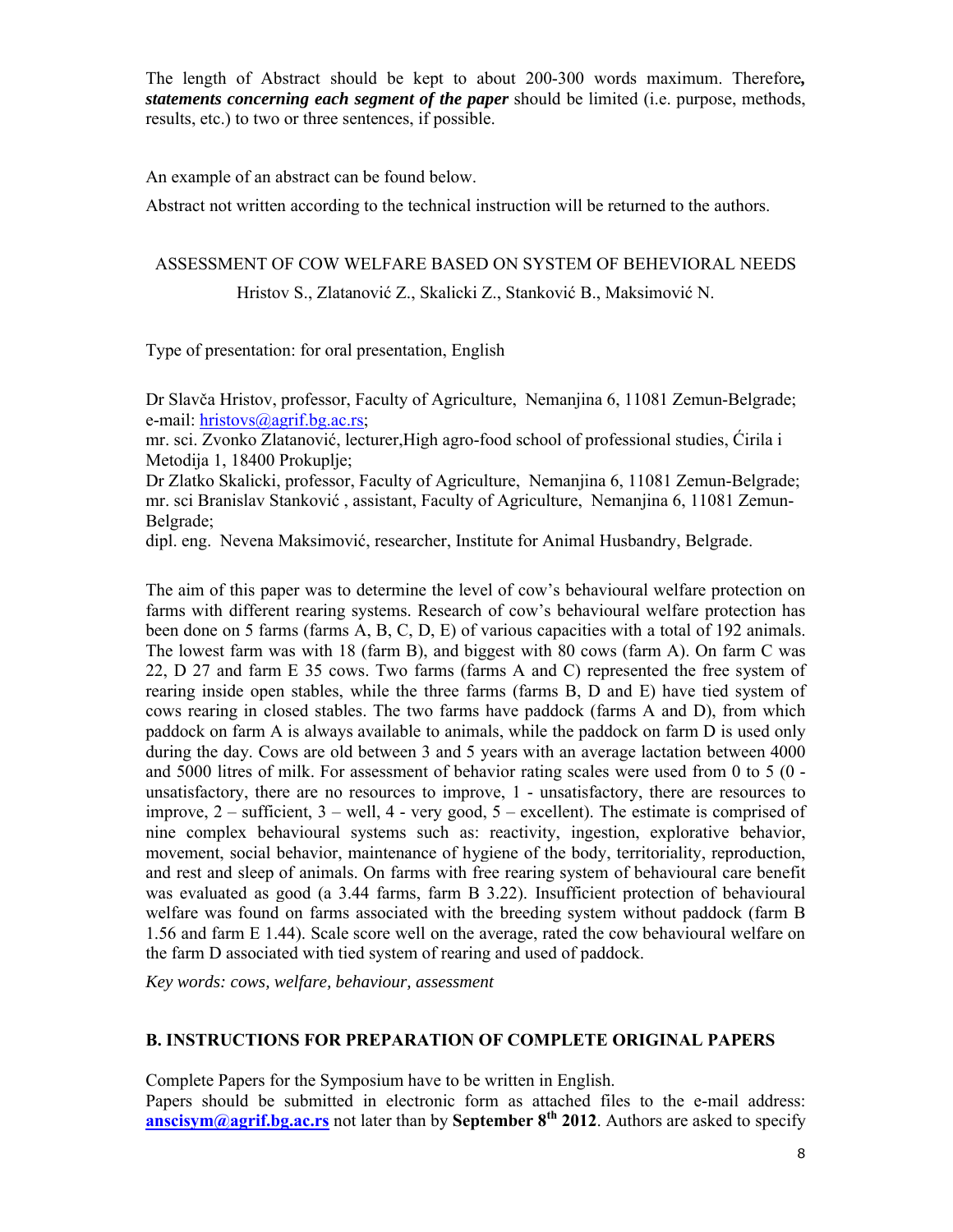The length of Abstract should be kept to about 200-300 words maximum. Therefore*, statements concerning each segment of the paper* should be limited (i.e. purpose, methods, results, etc.) to two or three sentences, if possible.

An example of an abstract can be found below.

Abstract not written according to the technical instruction will be returned to the authors.

#### ASSESSMENT OF COW WELFARE BASED ON SYSTEM OF BEHEVIORAL NEEDS

Hristov S., Zlatanović Z., Skalicki Z., Stanković B., Maksimović N.

Type of presentation: for oral presentation, English

Dr Slavča Hristov, professor, Faculty of Agriculture, Nemanjina 6, 11081 Zemun-Belgrade; e-mail: hristovs@agrif.bg.ac.rs;

mr. sci. Zvonko Zlatanović, lecturer,High agro-food school of professional studies, Ćirila i Metodija 1, 18400 Prokuplje;

Dr Zlatko Skalicki, professor, Faculty of Agriculture, Nemanjina 6, 11081 Zemun-Belgrade; mr. sci Branislav Stanković , assistant, Faculty of Agriculture, Nemanjina 6, 11081 Zemun-Belgrade;

dipl. eng. Nevena Maksimović, researcher, Institute for Animal Husbandry, Belgrade.

The aim of this paper was to determine the level of cow's behavioural welfare protection on farms with different rearing systems. Research of cow's behavioural welfare protection has been done on 5 farms (farms A, B, C, D, E) of various capacities with a total of 192 animals. The lowest farm was with 18 (farm B), and biggest with 80 cows (farm A). On farm C was 22, D 27 and farm E 35 cows. Two farms (farms A and C) represented the free system of rearing inside open stables, while the three farms (farms B, D and E) have tied system of cows rearing in closed stables. The two farms have paddock (farms A and D), from which paddock on farm A is always available to animals, while the paddock on farm D is used only during the day. Cows are old between 3 and 5 years with an average lactation between 4000 and 5000 litres of milk. For assessment of behavior rating scales were used from 0 to 5 (0 unsatisfactory, there are no resources to improve, 1 - unsatisfactory, there are resources to improve, 2 – sufficient, 3 – well, 4 - very good, 5 – excellent). The estimate is comprised of nine complex behavioural systems such as: reactivity, ingestion, explorative behavior, movement, social behavior, maintenance of hygiene of the body, territoriality, reproduction, and rest and sleep of animals. On farms with free rearing system of behavioural care benefit was evaluated as good (a 3.44 farms, farm B 3.22). Insufficient protection of behavioural welfare was found on farms associated with the breeding system without paddock (farm B 1.56 and farm E 1.44). Scale score well on the average, rated the cow behavioural welfare on the farm D associated with tied system of rearing and used of paddock.

*Key words: cows, welfare, behaviour, assessment* 

#### **B. INSTRUCTIONS FOR PREPARATION OF COMPLETE ORIGINAL PAPERS**

Complete Papers for the Symposium have to be written in English.

Papers should be submitted in electronic form as attached files to the e-mail address: **anscisym@agrif.bg.ac.rs** not later than by **September 8th 2012**. Authors are asked to specify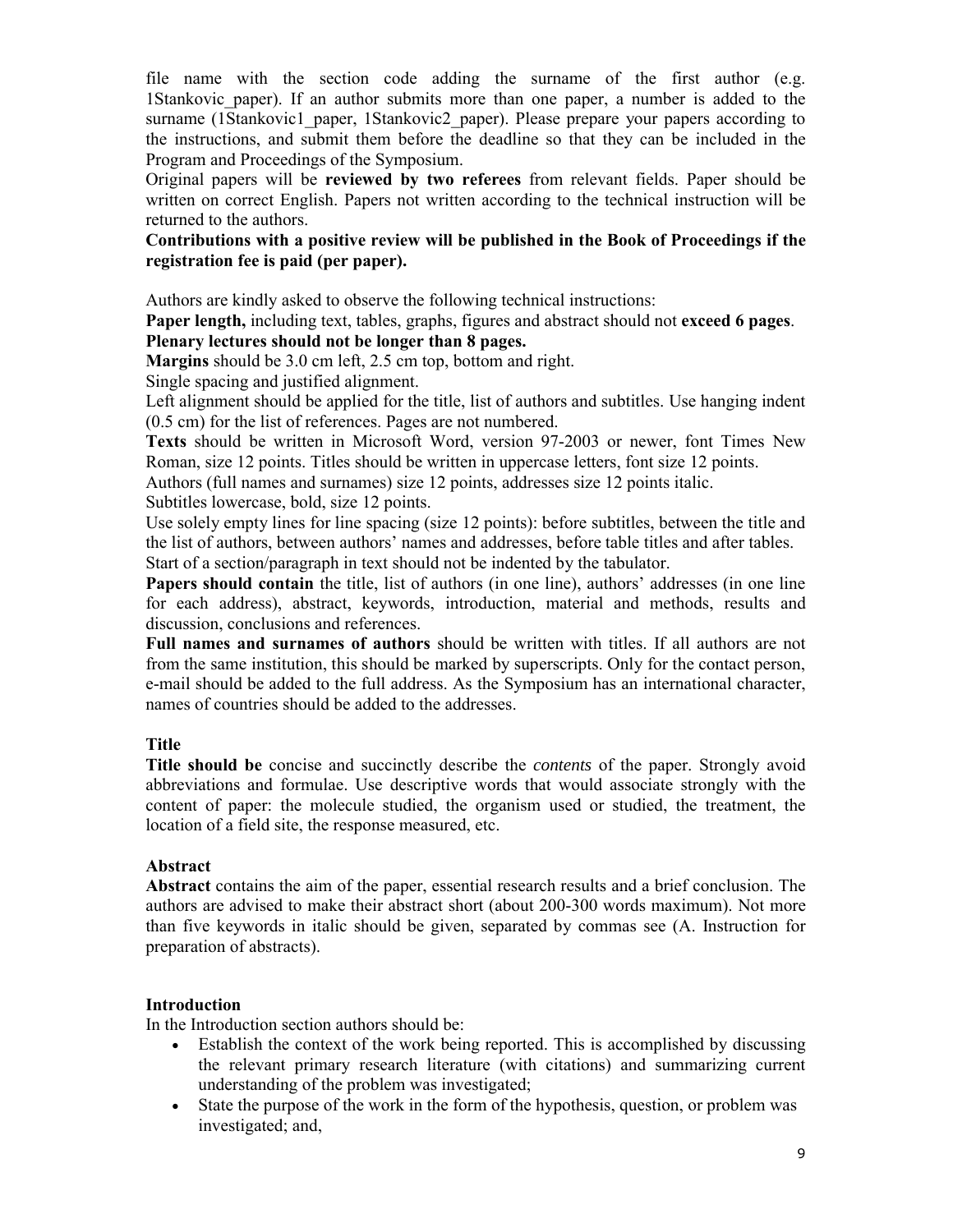file name with the section code adding the surname of the first author (e.g. 1Stankovic\_paper). If an author submits more than one paper, a number is added to the surname (1Stankovic1\_paper, 1Stankovic2\_paper). Please prepare your papers according to the instructions, and submit them before the deadline so that they can be included in the Program and Proceedings of the Symposium.

Original papers will be **reviewed by two referees** from relevant fields. Paper should be written on correct English. Papers not written according to the technical instruction will be returned to the authors.

### **Contributions with a positive review will be published in the Book of Proceedings if the registration fee is paid (per paper).**

Authors are kindly asked to observe the following technical instructions:

**Paper length,** including text, tables, graphs, figures and abstract should not **exceed 6 pages**. **Plenary lectures should not be longer than 8 pages.**

**Margins** should be 3.0 cm left, 2.5 cm top, bottom and right.

Single spacing and justified alignment.

Left alignment should be applied for the title, list of authors and subtitles. Use hanging indent (0.5 cm) for the list of references. Pages are not numbered.

**Texts** should be written in Microsoft Word, version 97-2003 or newer, font Times New Roman, size 12 points. Titles should be written in uppercase letters, font size 12 points.

Authors (full names and surnames) size 12 points, addresses size 12 points italic.

Subtitles lowercase, bold, size 12 points.

Use solely empty lines for line spacing (size 12 points): before subtitles, between the title and the list of authors, between authors' names and addresses, before table titles and after tables. Start of a section/paragraph in text should not be indented by the tabulator.

**Papers should contain** the title, list of authors (in one line), authors' addresses (in one line for each address), abstract, keywords, introduction, material and methods, results and discussion, conclusions and references.

**Full names and surnames of authors** should be written with titles. If all authors are not from the same institution, this should be marked by superscripts. Only for the contact person, e-mail should be added to the full address. As the Symposium has an international character, names of countries should be added to the addresses.

### **Title**

**Title should be** concise and succinctly describe the *contents* of the paper. Strongly avoid abbreviations and formulae. Use descriptive words that would associate strongly with the content of paper: the molecule studied, the organism used or studied, the treatment, the location of a field site, the response measured, etc.

### **Abstract**

**Abstract** contains the aim of the paper, essential research results and a brief conclusion. The authors are advised to make their abstract short (about 200-300 words maximum). Not more than five keywords in italic should be given, separated by commas see (A. Instruction for preparation of abstracts).

### **Introduction**

In the Introduction section authors should be:

- Establish the context of the work being reported. This is accomplished by discussing the relevant primary research literature (with citations) and summarizing current understanding of the problem was investigated;
- State the purpose of the work in the form of the hypothesis, question, or problem was investigated; and,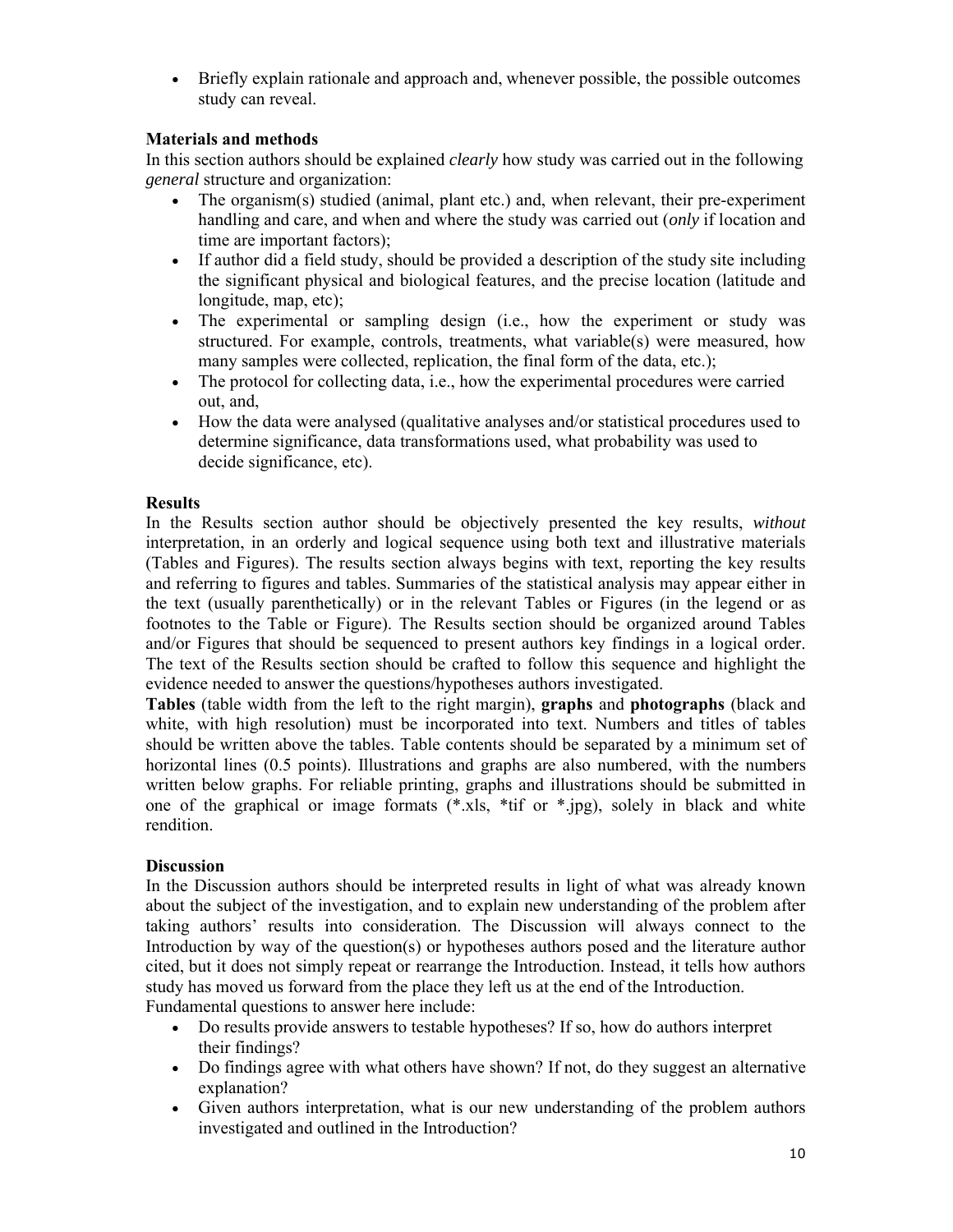Briefly explain rationale and approach and, whenever possible, the possible outcomes study can reveal.

### **Materials and methods**

In this section authors should be explained *clearly* how study was carried out in the following *general* structure and organization:

- The organism(s) studied (animal, plant etc.) and, when relevant, their pre-experiment handling and care, and when and where the study was carried out (*only* if location and time are important factors);
- If author did a field study, should be provided a description of the study site including the significant physical and biological features, and the precise location (latitude and longitude, map, etc);
- The experimental or sampling design (i.e., how the experiment or study was structured. For example, controls, treatments, what variable(s) were measured, how many samples were collected, replication, the final form of the data, etc.);
- The protocol for collecting data, i.e., how the experimental procedures were carried out, and,
- How the data were analysed (qualitative analyses and/or statistical procedures used to determine significance, data transformations used, what probability was used to decide significance, etc).

### **Results**

In the Results section author should be objectively presented the key results, *without* interpretation, in an orderly and logical sequence using both text and illustrative materials (Tables and Figures). The results section always begins with text, reporting the key results and referring to figures and tables. Summaries of the statistical analysis may appear either in the text (usually parenthetically) or in the relevant Tables or Figures (in the legend or as footnotes to the Table or Figure). The Results section should be organized around Tables and/or Figures that should be sequenced to present authors key findings in a logical order. The text of the Results section should be crafted to follow this sequence and highlight the evidence needed to answer the questions/hypotheses authors investigated.

**Tables** (table width from the left to the right margin), **graphs** and **photographs** (black and white, with high resolution) must be incorporated into text. Numbers and titles of tables should be written above the tables. Table contents should be separated by a minimum set of horizontal lines (0.5 points). Illustrations and graphs are also numbered, with the numbers written below graphs. For reliable printing, graphs and illustrations should be submitted in one of the graphical or image formats (\*.xls, \*tif or \*.jpg), solely in black and white rendition.

### **Discussion**

In the Discussion authors should be interpreted results in light of what was already known about the subject of the investigation, and to explain new understanding of the problem after taking authors' results into consideration. The Discussion will always connect to the Introduction by way of the question(s) or hypotheses authors posed and the literature author cited, but it does not simply repeat or rearrange the Introduction. Instead, it tells how authors study has moved us forward from the place they left us at the end of the Introduction. Fundamental questions to answer here include:

- Do results provide answers to testable hypotheses? If so, how do authors interpret their findings?
- Do findings agree with what others have shown? If not, do they suggest an alternative explanation?
- Given authors interpretation, what is our new understanding of the problem authors investigated and outlined in the Introduction?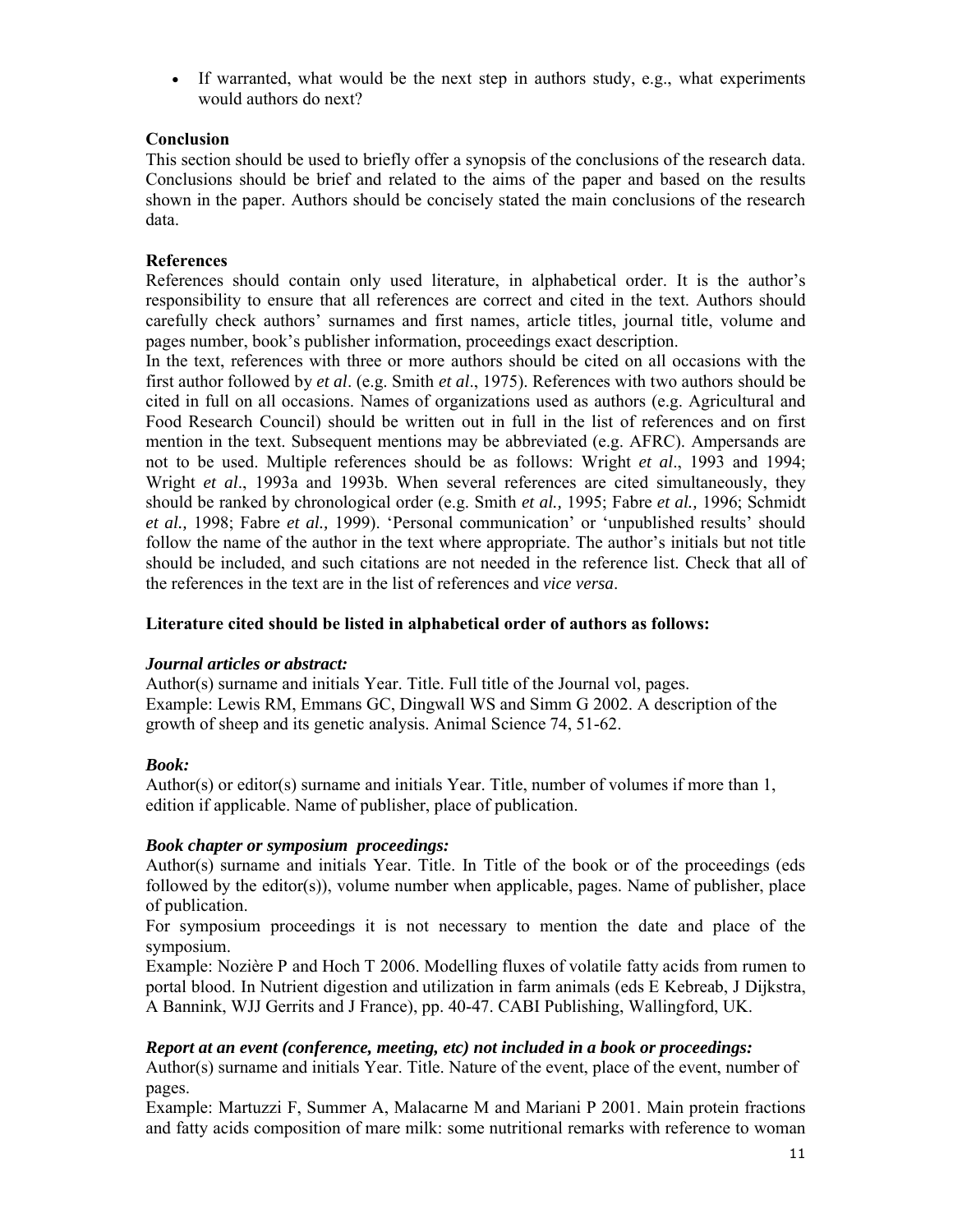If warranted, what would be the next step in authors study, e.g., what experiments would authors do next?

### **Conclusion**

This section should be used to briefly offer a synopsis of the conclusions of the research data. Conclusions should be brief and related to the aims of the paper and based on the results shown in the paper. Authors should be concisely stated the main conclusions of the research data.

#### **References**

References should contain only used literature, in alphabetical order. It is the author's responsibility to ensure that all references are correct and cited in the text. Authors should carefully check authors' surnames and first names, article titles, journal title, volume and pages number, book's publisher information, proceedings exact description.

In the text, references with three or more authors should be cited on all occasions with the first author followed by *et al*. (e.g. Smith *et al*., 1975). References with two authors should be cited in full on all occasions. Names of organizations used as authors (e.g. Agricultural and Food Research Council) should be written out in full in the list of references and on first mention in the text. Subsequent mentions may be abbreviated (e.g. AFRC). Ampersands are not to be used. Multiple references should be as follows: Wright *et al*., 1993 and 1994; Wright *et al*., 1993a and 1993b. When several references are cited simultaneously, they should be ranked by chronological order (e.g. Smith *et al.,* 1995; Fabre *et al.,* 1996; Schmidt *et al.,* 1998; Fabre *et al.,* 1999). 'Personal communication' or 'unpublished results' should follow the name of the author in the text where appropriate. The author's initials but not title should be included, and such citations are not needed in the reference list. Check that all of the references in the text are in the list of references and *vice versa*.

# **Literature cited should be listed in alphabetical order of authors as follows:**

#### *Journal articles or abstract:*

Author(s) surname and initials Year. Title. Full title of the Journal vol, pages. Example: Lewis RM, Emmans GC, Dingwall WS and Simm G 2002. A description of the growth of sheep and its genetic analysis. Animal Science 74, 51-62.

### *Book:*

Author(s) or editor(s) surname and initials Year. Title, number of volumes if more than  $1$ , edition if applicable. Name of publisher, place of publication.

### *Book chapter or symposium proceedings:*

Author(s) surname and initials Year. Title. In Title of the book or of the proceedings (eds followed by the editor(s)), volume number when applicable, pages. Name of publisher, place of publication.

For symposium proceedings it is not necessary to mention the date and place of the symposium.

Example: Nozière P and Hoch T 2006. Modelling fluxes of volatile fatty acids from rumen to portal blood. In Nutrient digestion and utilization in farm animals (eds E Kebreab, J Dijkstra, A Bannink, WJJ Gerrits and J France), pp. 40-47. CABI Publishing, Wallingford, UK.

#### *Report at an event (conference, meeting, etc) not included in a book or proceedings:*

Author(s) surname and initials Year. Title. Nature of the event, place of the event, number of pages.

Example: Martuzzi F, Summer A, Malacarne M and Mariani P 2001. Main protein fractions and fatty acids composition of mare milk: some nutritional remarks with reference to woman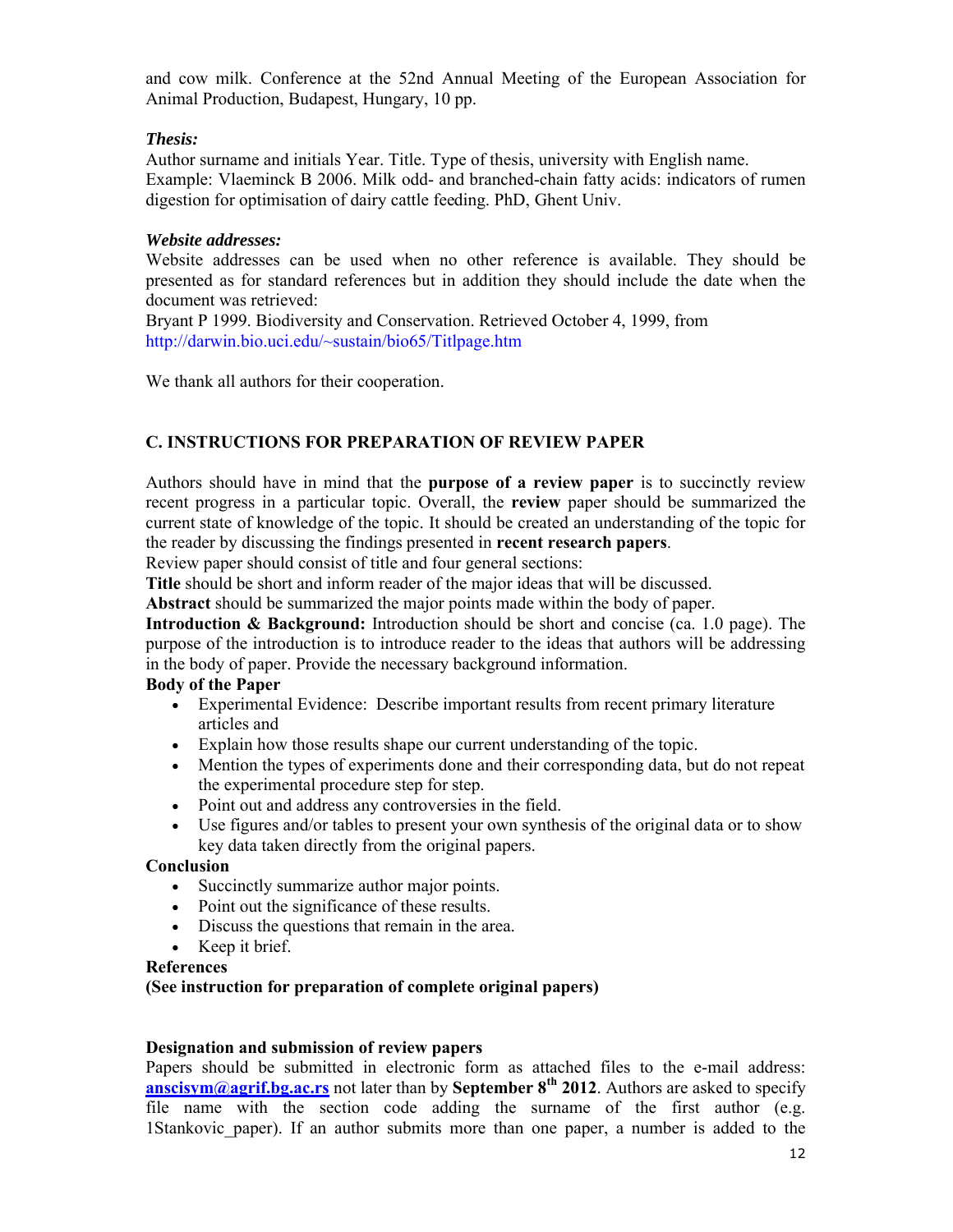and cow milk. Conference at the 52nd Annual Meeting of the European Association for Animal Production, Budapest, Hungary, 10 pp.

### *Thesis:*

Author surname and initials Year. Title. Type of thesis, university with English name. Example: Vlaeminck B 2006. Milk odd- and branched-chain fatty acids: indicators of rumen digestion for optimisation of dairy cattle feeding. PhD, Ghent Univ.

#### *Website addresses:*

Website addresses can be used when no other reference is available. They should be presented as for standard references but in addition they should include the date when the document was retrieved:

Bryant P 1999. Biodiversity and Conservation. Retrieved October 4, 1999, from http://darwin.bio.uci.edu/~sustain/bio65/Titlpage.htm

We thank all authors for their cooperation.

# **C. INSTRUCTIONS FOR PREPARATION OF REVIEW PAPER**

Authors should have in mind that the **purpose of a review paper** is to succinctly review recent progress in a particular topic. Overall, the **review** paper should be summarized the current state of knowledge of the topic. It should be created an understanding of the topic for the reader by discussing the findings presented in **recent research papers**.

Review paper should consist of title and four general sections:

**Title** should be short and inform reader of the major ideas that will be discussed.

**Abstract** should be summarized the major points made within the body of paper.

**Introduction & Background:** Introduction should be short and concise (ca. 1.0 page). The purpose of the introduction is to introduce reader to the ideas that authors will be addressing in the body of paper. Provide the necessary background information.

# **Body of the Paper**

- Experimental Evidence: Describe important results from recent primary literature articles and
- Explain how those results shape our current understanding of the topic.
- Mention the types of experiments done and their corresponding data, but do not repeat the experimental procedure step for step.
- Point out and address any controversies in the field.
- Use figures and/or tables to present your own synthesis of the original data or to show key data taken directly from the original papers.

### **Conclusion**

- Succinctly summarize author major points.
- Point out the significance of these results.
- Discuss the questions that remain in the area.
- Keep it brief.

#### **References**

### **(See instruction for preparation of complete original papers)**

#### **Designation and submission of review papers**

Papers should be submitted in electronic form as attached files to the e-mail address: **anscisym@agrif.bg.ac.rs** not later than by **September 8th 2012**. Authors are asked to specify file name with the section code adding the surname of the first author (e.g. 1Stankovic\_paper). If an author submits more than one paper, a number is added to the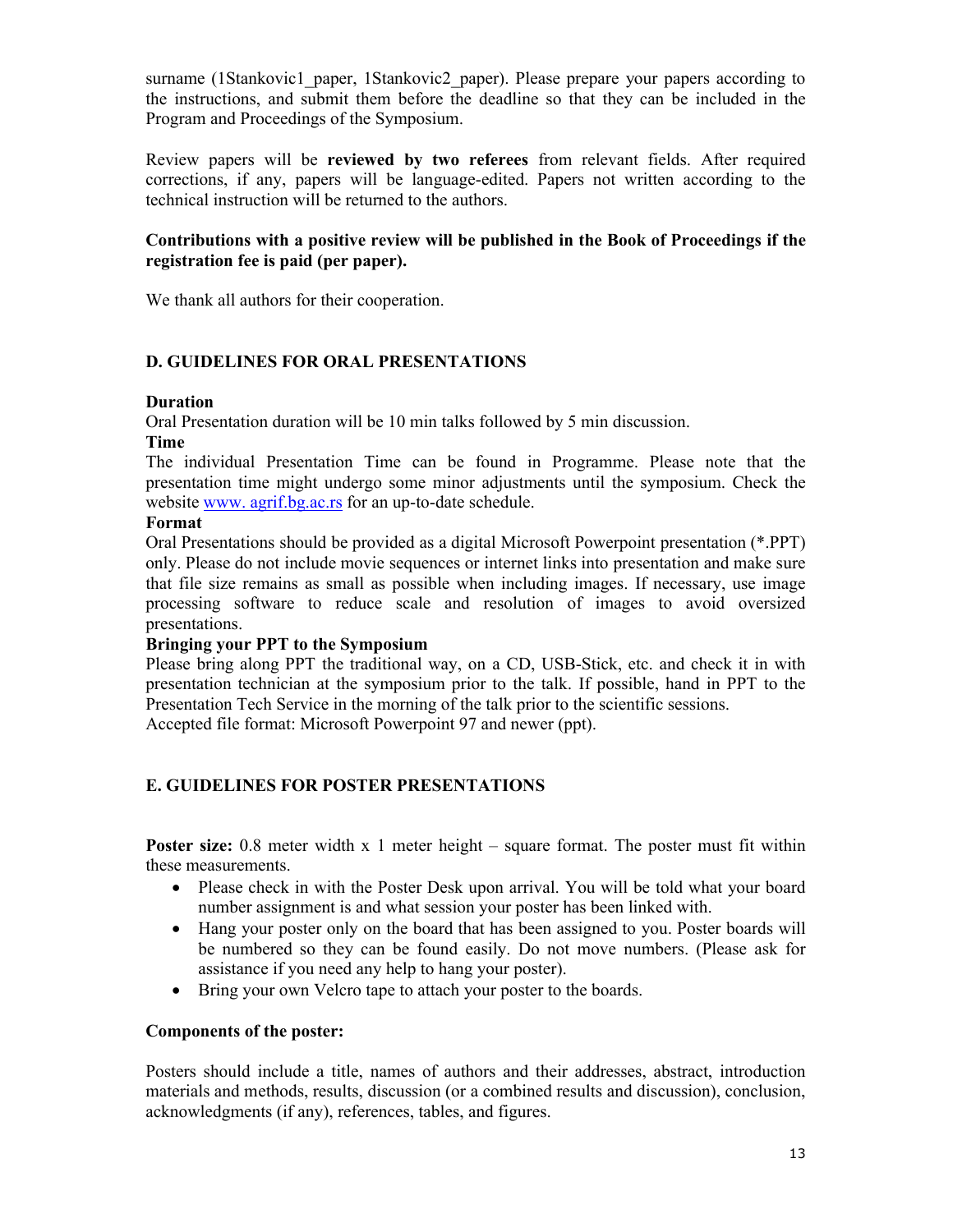surname (1Stankovic1\_paper, 1Stankovic2\_paper). Please prepare your papers according to the instructions, and submit them before the deadline so that they can be included in the Program and Proceedings of the Symposium.

Review papers will be **reviewed by two referees** from relevant fields. After required corrections, if any, papers will be language-edited. Papers not written according to the technical instruction will be returned to the authors.

#### **Contributions with a positive review will be published in the Book of Proceedings if the registration fee is paid (per paper).**

We thank all authors for their cooperation.

#### **D. GUIDELINES FOR ORAL PRESENTATIONS**

#### **Duration**

Oral Presentation duration will be 10 min talks followed by 5 min discussion.

#### **Time**

The individual Presentation Time can be found in Programme. Please note that the presentation time might undergo some minor adjustments until the symposium. Check the website www. agrif.bg.ac.rs for an up-to-date schedule.

#### **Format**

Oral Presentations should be provided as a digital Microsoft Powerpoint presentation (\*.PPT) only. Please do not include movie sequences or internet links into presentation and make sure that file size remains as small as possible when including images. If necessary, use image processing software to reduce scale and resolution of images to avoid oversized presentations.

#### **Bringing your PPT to the Symposium**

Please bring along PPT the traditional way, on a CD, USB-Stick, etc. and check it in with presentation technician at the symposium prior to the talk. If possible, hand in PPT to the Presentation Tech Service in the morning of the talk prior to the scientific sessions.

Accepted file format: Microsoft Powerpoint 97 and newer (ppt).

#### **E. GUIDELINES FOR POSTER PRESENTATIONS**

**Poster size:** 0.8 meter width x 1 meter height – square format. The poster must fit within these measurements.

- Please check in with the Poster Desk upon arrival. You will be told what your board number assignment is and what session your poster has been linked with.
- Hang your poster only on the board that has been assigned to you. Poster boards will be numbered so they can be found easily. Do not move numbers. (Please ask for assistance if you need any help to hang your poster).
- Bring your own Velcro tape to attach your poster to the boards.

#### **Components of the poster:**

Posters should include a title, names of authors and their addresses, abstract, introduction materials and methods, results, discussion (or a combined results and discussion), conclusion, acknowledgments (if any), references, tables, and figures.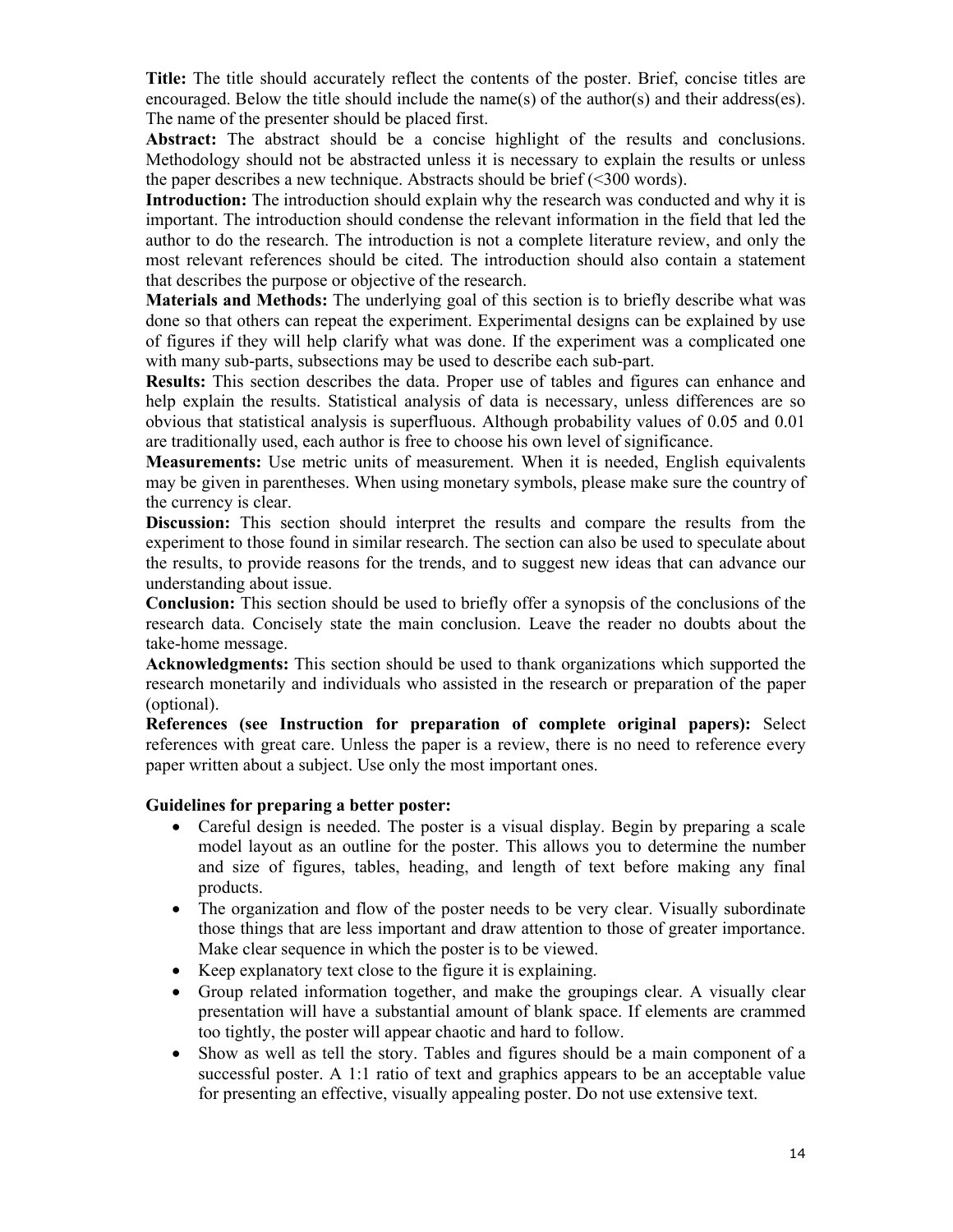**Title:** The title should accurately reflect the contents of the poster. Brief, concise titles are encouraged. Below the title should include the name(s) of the author(s) and their address(es). The name of the presenter should be placed first.

**Abstract:** The abstract should be a concise highlight of the results and conclusions. Methodology should not be abstracted unless it is necessary to explain the results or unless the paper describes a new technique. Abstracts should be brief  $(\leq 300 \text{ words})$ .

**Introduction:** The introduction should explain why the research was conducted and why it is important. The introduction should condense the relevant information in the field that led the author to do the research. The introduction is not a complete literature review, and only the most relevant references should be cited. The introduction should also contain a statement that describes the purpose or objective of the research.

**Materials and Methods:** The underlying goal of this section is to briefly describe what was done so that others can repeat the experiment. Experimental designs can be explained by use of figures if they will help clarify what was done. If the experiment was a complicated one with many sub-parts, subsections may be used to describe each sub-part.

**Results:** This section describes the data. Proper use of tables and figures can enhance and help explain the results. Statistical analysis of data is necessary, unless differences are so obvious that statistical analysis is superfluous. Although probability values of 0.05 and 0.01 are traditionally used, each author is free to choose his own level of significance.

**Measurements:** Use metric units of measurement. When it is needed, English equivalents may be given in parentheses. When using monetary symbols, please make sure the country of the currency is clear.

**Discussion:** This section should interpret the results and compare the results from the experiment to those found in similar research. The section can also be used to speculate about the results, to provide reasons for the trends, and to suggest new ideas that can advance our understanding about issue.

**Conclusion:** This section should be used to briefly offer a synopsis of the conclusions of the research data. Concisely state the main conclusion. Leave the reader no doubts about the take-home message.

**Acknowledgments:** This section should be used to thank organizations which supported the research monetarily and individuals who assisted in the research or preparation of the paper (optional).

**References (see Instruction for preparation of complete original papers):** Select references with great care. Unless the paper is a review, there is no need to reference every paper written about a subject. Use only the most important ones.

#### **Guidelines for preparing a better poster:**

- Careful design is needed. The poster is a visual display. Begin by preparing a scale model layout as an outline for the poster. This allows you to determine the number and size of figures, tables, heading, and length of text before making any final products.
- The organization and flow of the poster needs to be very clear. Visually subordinate those things that are less important and draw attention to those of greater importance. Make clear sequence in which the poster is to be viewed.
- Keep explanatory text close to the figure it is explaining.
- Group related information together, and make the groupings clear. A visually clear presentation will have a substantial amount of blank space. If elements are crammed too tightly, the poster will appear chaotic and hard to follow.
- Show as well as tell the story. Tables and figures should be a main component of a successful poster. A 1:1 ratio of text and graphics appears to be an acceptable value for presenting an effective, visually appealing poster. Do not use extensive text.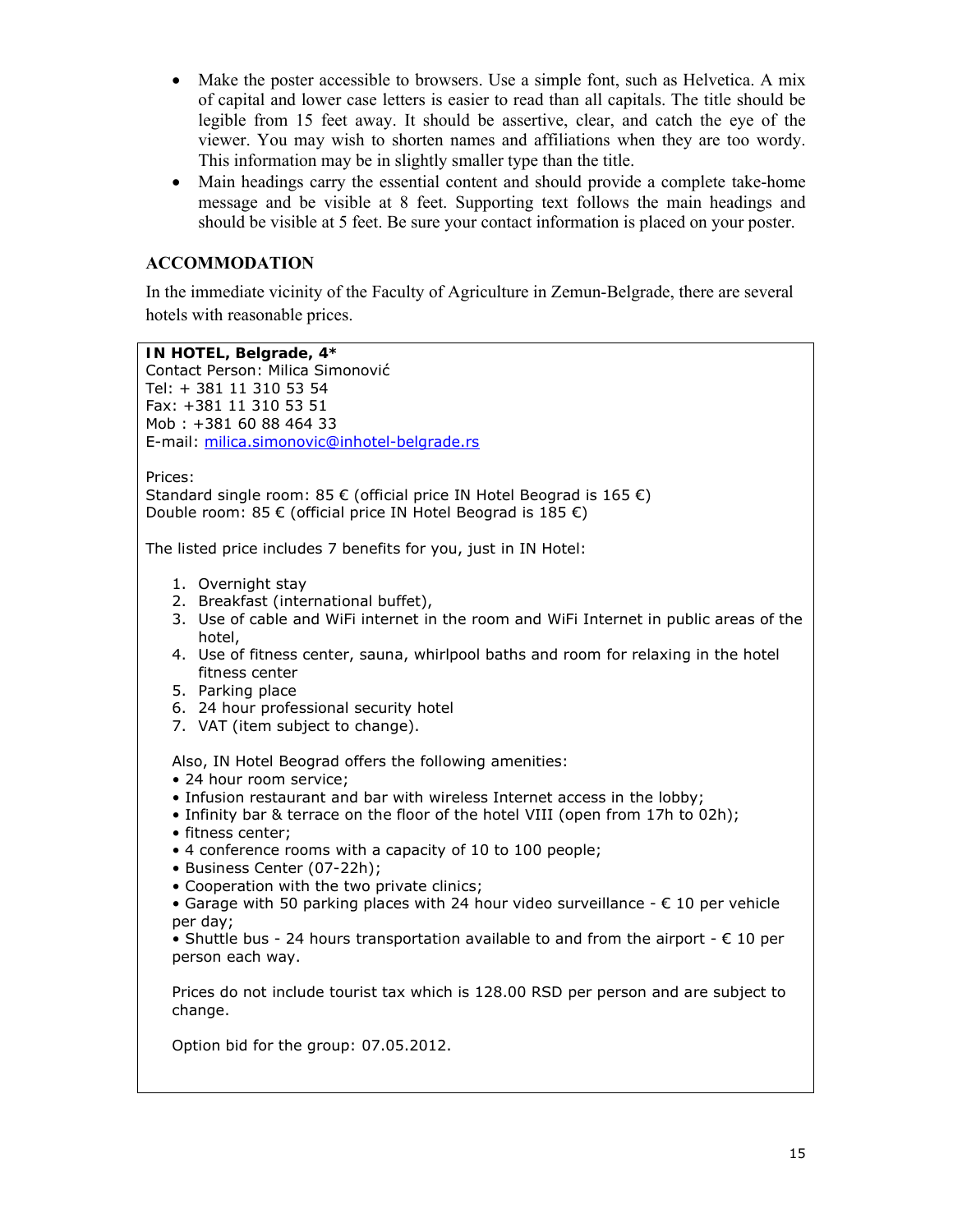- Make the poster accessible to browsers. Use a simple font, such as Helvetica. A mix of capital and lower case letters is easier to read than all capitals. The title should be legible from 15 feet away. It should be assertive, clear, and catch the eye of the viewer. You may wish to shorten names and affiliations when they are too wordy. This information may be in slightly smaller type than the title.
- Main headings carry the essential content and should provide a complete take-home message and be visible at 8 feet. Supporting text follows the main headings and should be visible at 5 feet. Be sure your contact information is placed on your poster.

#### **ACCOMMODATION**

In the immediate vicinity of the Faculty of Agriculture in Zemun-Belgrade, there are several hotels with reasonable prices.

**IN HOTEL, Belgrade, 4\*** Contact Person: Milica Simonović Tel: + 381 11 310 53 54 Fax: +381 11 310 53 51 Mob : +381 60 88 464 33 E-mail: milica.simonovic@inhotel-belgrade.rs Prices: Standard single room: 85 € (official price IN Hotel Beograd is 165 €) Double room: 85 € (official price IN Hotel Beograd is 185 €) The listed price includes 7 benefits for you, just in IN Hotel: 1. Overnight stay 2. Breakfast (international buffet), 3. Use of cable and WiFi internet in the room and WiFi Internet in public areas of the hotel, 4. Use of fitness center, sauna, whirlpool baths and room for relaxing in the hotel fitness center 5. Parking place 6. 24 hour professional security hotel 7. VAT (item subject to change). Also, IN Hotel Beograd offers the following amenities: • 24 hour room service; • Infusion restaurant and bar with wireless Internet access in the lobby; • Infinity bar & terrace on the floor of the hotel VIII (open from 17h to 02h); • fitness center; • 4 conference rooms with a capacity of 10 to 100 people; • Business Center (07-22h); • Cooperation with the two private clinics; • Garage with 50 parking places with 24 hour video surveillance  $- \epsilon$  10 per vehicle per day; • Shuttle bus - 24 hours transportation available to and from the airport -  $\epsilon$  10 per person each way. Prices do not include tourist tax which is 128.00 RSD per person and are subject to change. Option bid for the group: 07.05.2012.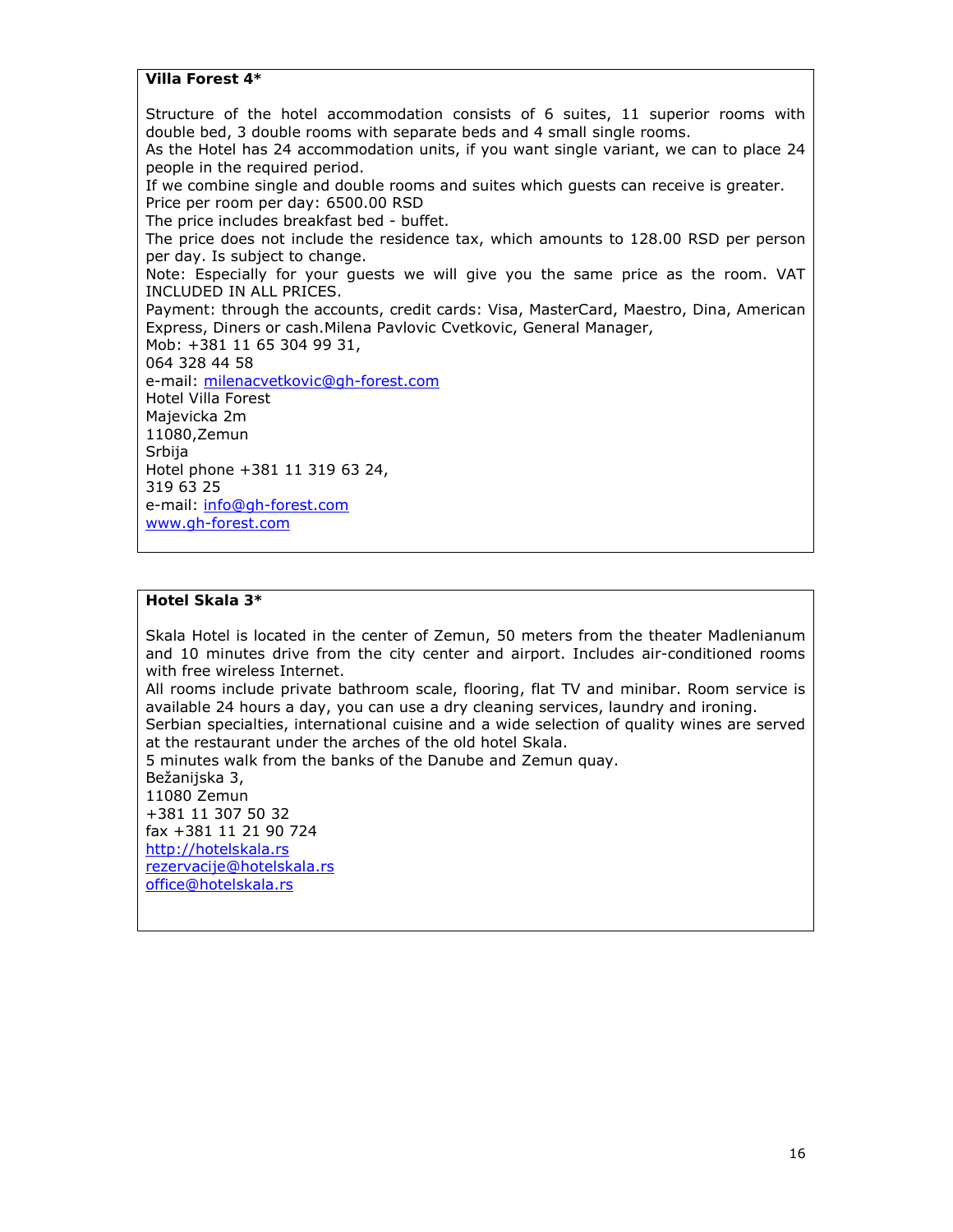**Villa Forest 4\***

Structure of the hotel accommodation consists of 6 suites, 11 superior rooms with double bed, 3 double rooms with separate beds and 4 small single rooms.

As the Hotel has 24 accommodation units, if you want single variant, we can to place 24 people in the required period.

If we combine single and double rooms and suites which guests can receive is greater. Price per room per day: 6500.00 RSD

The price includes breakfast bed - buffet.

The price does not include the residence tax, which amounts to 128.00 RSD per person per day. Is subject to change.

Note: Especially for your guests we will give you the same price as the room. VAT INCLUDED IN ALL PRICES.

Payment: through the accounts, credit cards: Visa, MasterCard, Maestro, Dina, American Express, Diners or cash.Milena Pavlovic Cvetkovic, General Manager,

Mob: +381 11 65 304 99 31, 064 328 44 58 e-mail: milenacvetkovic@gh-forest.com Hotel Villa Forest Majevicka 2m 11080,Zemun **Srbija** Hotel phone +381 11 319 63 24, 319 63 25 e-mail: info@gh-forest.com www.gh-forest.com

#### **Hotel Skala 3\***

Skala Hotel is located in the center of Zemun, 50 meters from the theater Madlenianum and 10 minutes drive from the city center and airport. Includes air-conditioned rooms with free wireless Internet.

All rooms include private bathroom scale, flooring, flat TV and minibar. Room service is available 24 hours a day, you can use a dry cleaning services, laundry and ironing.

Serbian specialties, international cuisine and a wide selection of quality wines are served at the restaurant under the arches of the old hotel Skala.

5 minutes walk from the banks of the Danube and Zemun quay.

Bežanijska 3, 11080 Zemun +381 11 307 50 32 fax +381 11 21 90 724 http://hotelskala.rs rezervacije@hotelskala.rs office@hotelskala.rs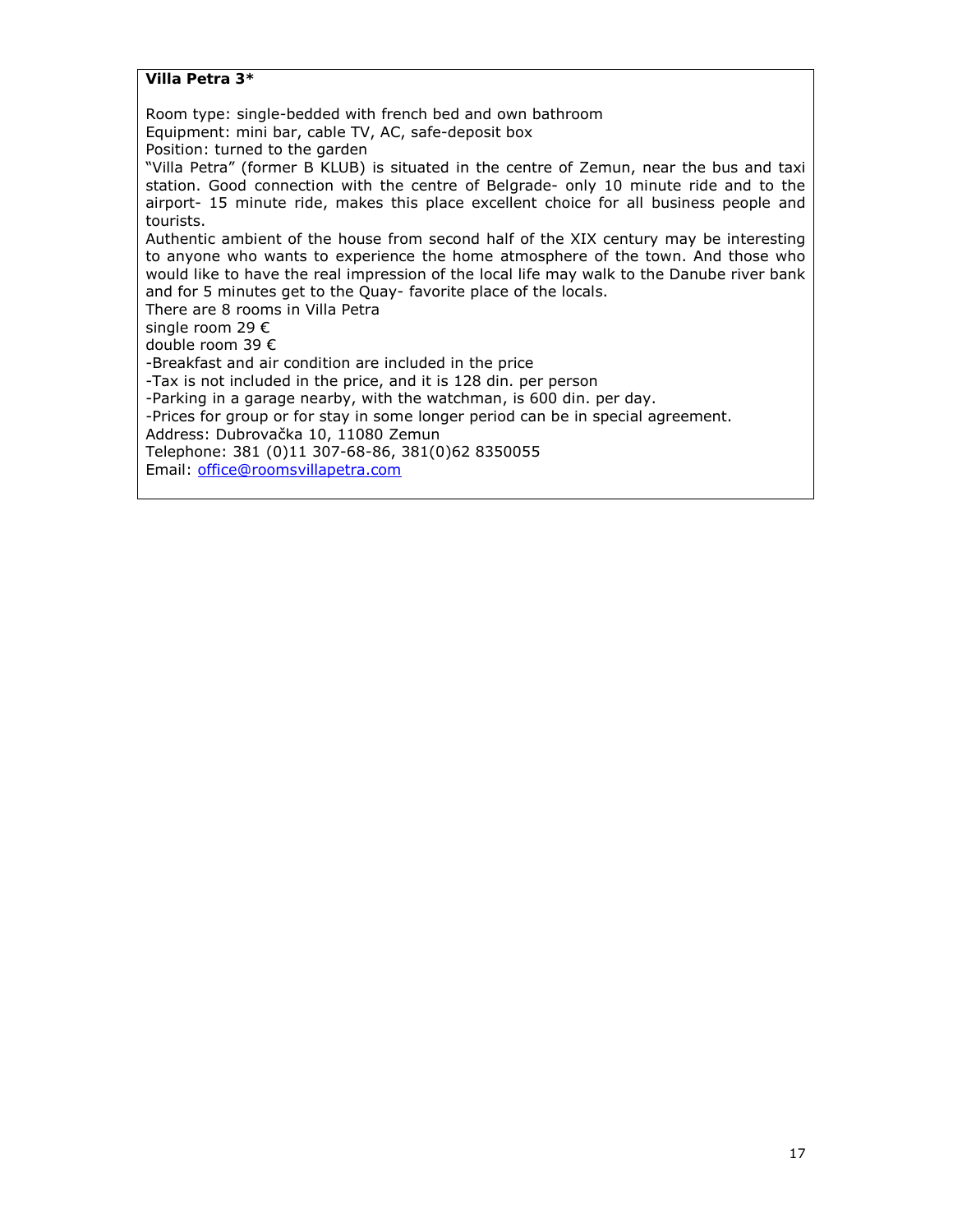**Villa Petra 3\***

Room type: single-bedded with french bed and own bathroom

Equipment: mini bar, cable TV, AC, safe-deposit box

Position: turned to the garden

"Villa Petra" (former B KLUB) is situated in the centre of Zemun, near the bus and taxi station. Good connection with the centre of Belgrade- only 10 minute ride and to the airport- 15 minute ride, makes this place excellent choice for all business people and tourists.

Authentic ambient of the house from second half of the XIX century may be interesting to anyone who wants to experience the home atmosphere of the town. And those who would like to have the real impression of the local life may walk to the Danube river bank and for 5 minutes get to the Quay- favorite place of the locals.

There are 8 rooms in Villa Petra

single room 29 €

double room 39 €

-Breakfast and air condition are included in the price

-Tax is not included in the price, and it is 128 din. per person

-Parking in a garage nearby, with the watchman, is 600 din. per day.

-Prices for group or for stay in some longer period can be in special agreement.

Address: Dubrovačka 10, 11080 Zemun

Telephone: 381 (0)11 307-68-86, 381(0)62 8350055

Email: office@roomsvillapetra.com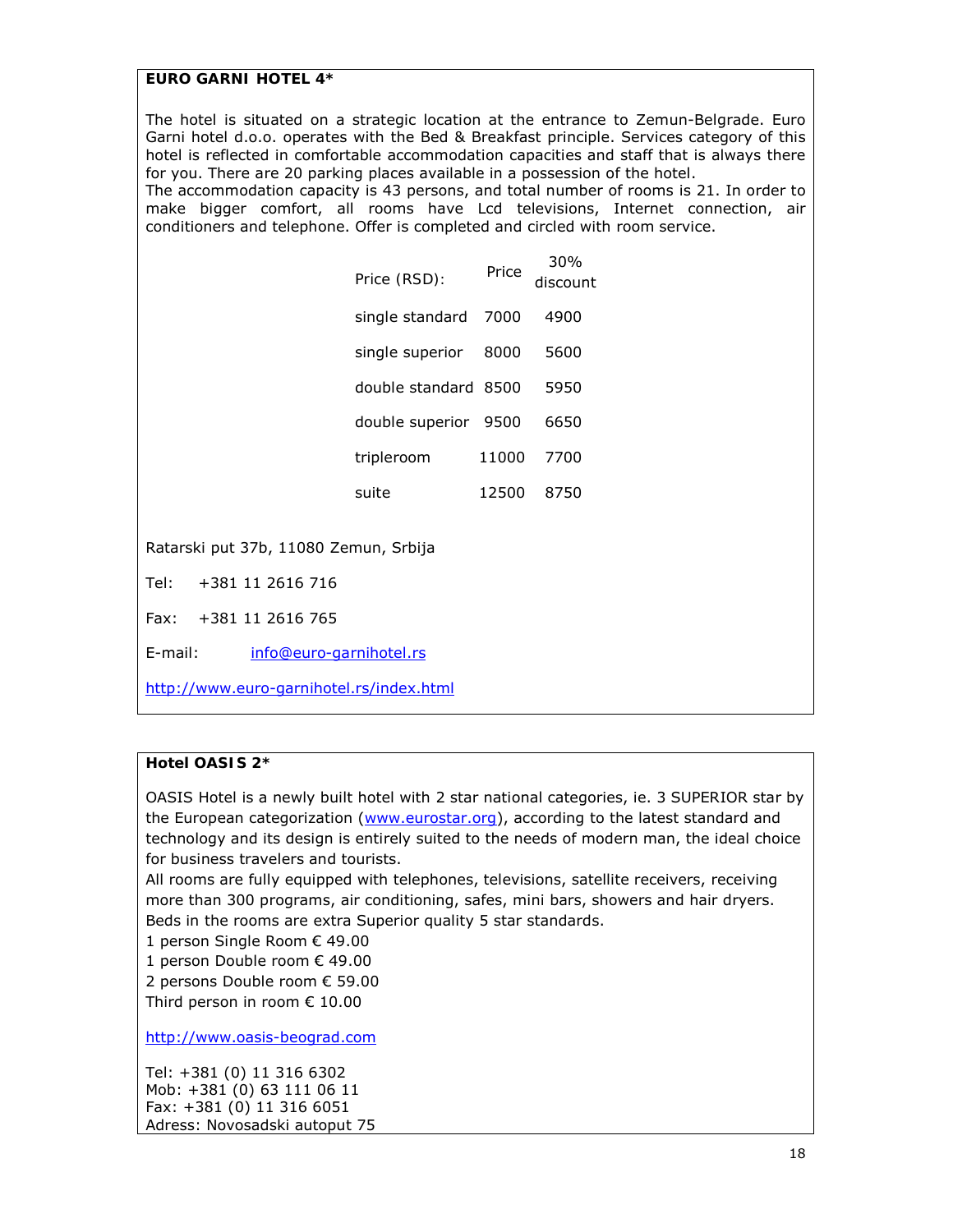*EURO GARNI HOTEL 4\**

The hotel is situated on a strategic location at the entrance to Zemun-Belgrade. Euro Garni hotel d.o.o. operates with the Bed & Breakfast principle. Services category of this hotel is reflected in comfortable accommodation capacities and staff that is always there for you. There are 20 parking places available in a possession of the hotel.

The accommodation capacity is 43 persons, and total number of rooms is 21. In order to make bigger comfort, all rooms have Lcd televisions, Internet connection, air conditioners and telephone. Offer is completed and circled with room service.

| Price (RSD):         | Price | 30%<br>discount |
|----------------------|-------|-----------------|
| single standard      | 7000  | 4900            |
| single superior      | 8000  | 5600            |
| double standard 8500 |       | 5950            |
| double superior 9500 |       | 6650            |
| tripleroom           | 11000 | 7700            |
| suite                | 12500 | 8750            |

Ratarski put 37b, 11080 Zemun, Srbija

Tel: +381 11 2616 716

Fax: +381 11 2616 765

E-mail: info@euro-garnihotel.rs

http://www.euro-garnihotel.rs/index.html

#### **Hotel OASIS 2\***

OASIS Hotel is a newly built hotel with 2 star national categories, ie. 3 SUPERIOR star by the European categorization (www.eurostar.org), according to the latest standard and technology and its design is entirely suited to the needs of modern man, the ideal choice for business travelers and tourists.

All rooms are fully equipped with telephones, televisions, satellite receivers, receiving more than 300 programs, air conditioning, safes, mini bars, showers and hair dryers. Beds in the rooms are extra Superior quality 5 star standards.

1 person Single Room € 49.00

1 person Double room € 49.00

2 persons Double room € 59.00

Third person in room € 10.00

http://www.oasis-beograd.com

Tel: +381 (0) 11 316 6302 Mob: +381 (0) 63 111 06 11 Fax: +381 (0) 11 316 6051 Adress: Novosadski autoput 75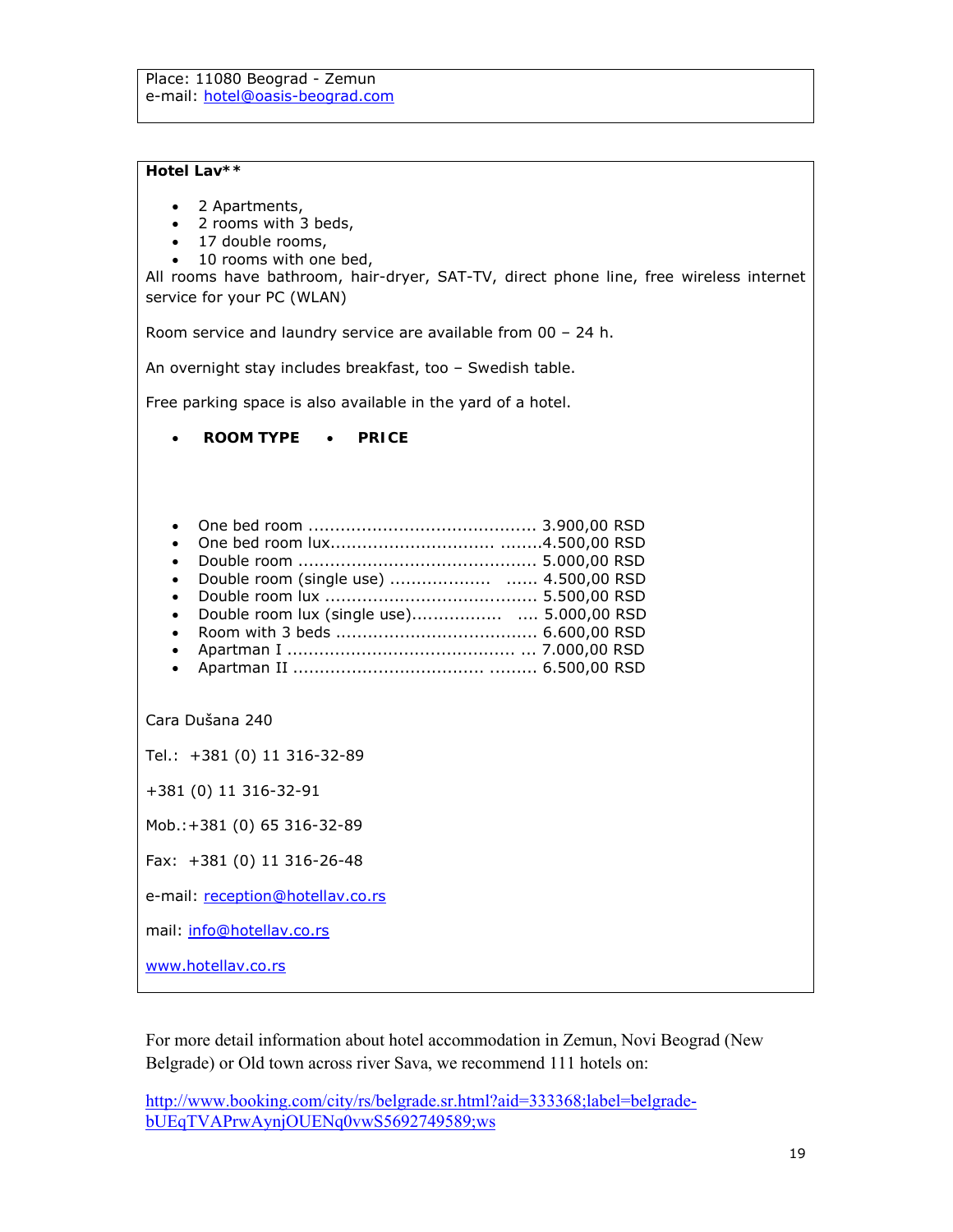**Hotel Lav\*\***

- 2 Apartments,
- 2 rooms with 3 beds,
- 17 double rooms,
- 10 rooms with one bed,

All rooms have bathroom, hair-dryer, SAT-TV, direct phone line, free wireless internet service for your PC (WLAN)

Room service and laundry service are available from 00 – 24 h.

An overnight stay includes breakfast, too – Swedish table.

Free parking space is also available in the yard of a hotel.

- **ROOM TYPE PRICE**
- One bed room ........................................... 3.900,00 RSD One bed room lux............................... ........4.500,00 RSD Double room ............................................. 5.000,00 RSD Double room (single use) ................... ...... 4.500,00 RSD Double room lux ........................................ 5.500,00 RSD Double room lux (single use)................. .... 5.000,00 RSD Room with 3 beds ...................................... 6.600,00 RSD Apartman I ........................................... ... 7.000,00 RSD Apartman II .................................... ......... 6.500,00 RSD

Cara Dušana 240

Tel.: +381 (0) 11 316-32-89

+381 (0) 11 316-32-91

Mob.:+381 (0) 65 316-32-89

Fax: +381 (0) 11 316-26-48

e-mail: reception@hotellav.co.rs

mail: info@hotellav.co.rs

www.hotellav.co.rs

For more detail information about hotel accommodation in Zemun, Novi Beograd (New Belgrade) or Old town across river Sava, we recommend 111 hotels on:

http://www.booking.com/city/rs/belgrade.sr.html?aid=333368;label=belgradebUEqTVAPrwAynjOUENq0vwS5692749589;ws